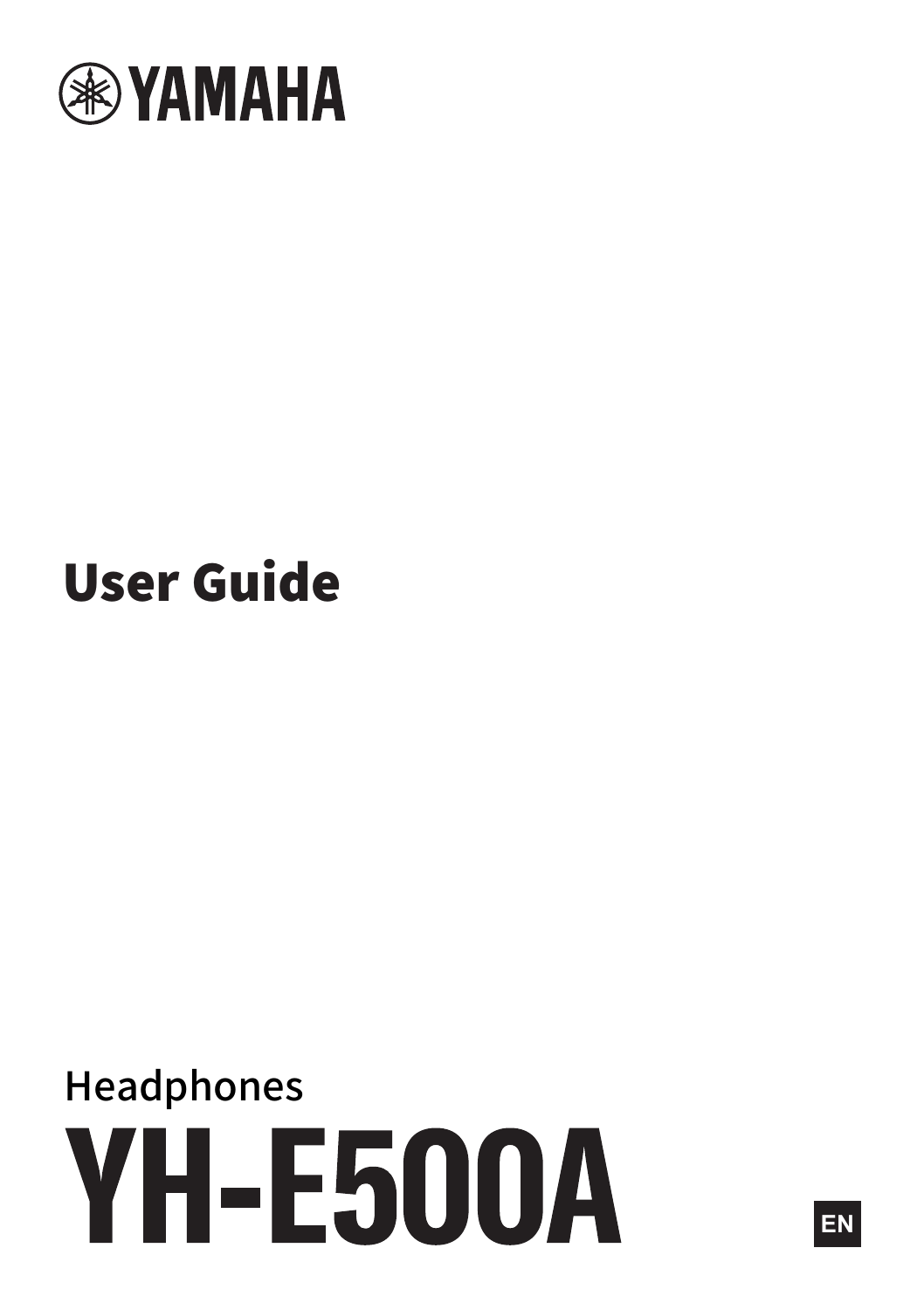

# User Guide

# Headphones **YH-E500A**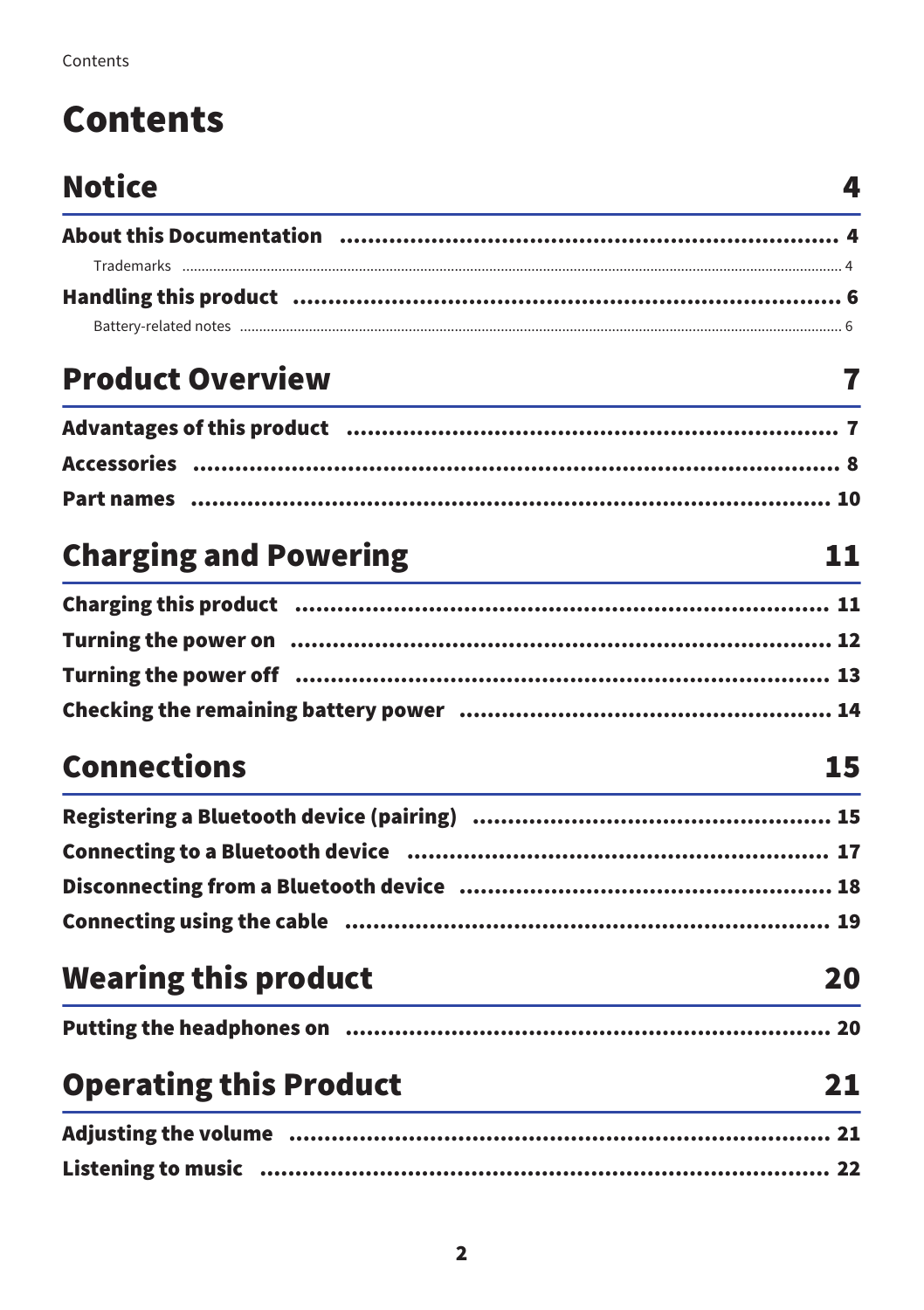# **Contents**

| <b>Notice</b>                                                                                                                                       | 4  |
|-----------------------------------------------------------------------------------------------------------------------------------------------------|----|
|                                                                                                                                                     |    |
|                                                                                                                                                     |    |
| Handling this product minimum continuum continuum control continuum 6                                                                               |    |
|                                                                                                                                                     |    |
| <b>Product Overview</b><br>the control of the control of the control of the control of the control of the control of                                | 7  |
|                                                                                                                                                     |    |
|                                                                                                                                                     |    |
| Part names ………………………………………………………………………………… 10                                                                                                       |    |
| <b>Charging and Powering</b><br><u> 1989 - Johann Barn, amerikansk politiker (</u>                                                                  | 11 |
|                                                                                                                                                     |    |
|                                                                                                                                                     |    |
| Turning the power off manual content control content content content content content content and the power off                                      |    |
|                                                                                                                                                     |    |
| <b>Connections</b>                                                                                                                                  | 15 |
|                                                                                                                                                     |    |
|                                                                                                                                                     |    |
|                                                                                                                                                     |    |
|                                                                                                                                                     |    |
| <b>Wearing this product</b><br><u> 1989 - Johann Stein, marwolaethau a bhann an t-Amhain an t-Amhain an t-Amhain an t-Amhain an t-Amhain an t-A</u> | 20 |
|                                                                                                                                                     |    |
| <b>Operating this Product</b>                                                                                                                       | 21 |
|                                                                                                                                                     |    |
| Listening to music manual continuum continuum continuum continuum 22                                                                                |    |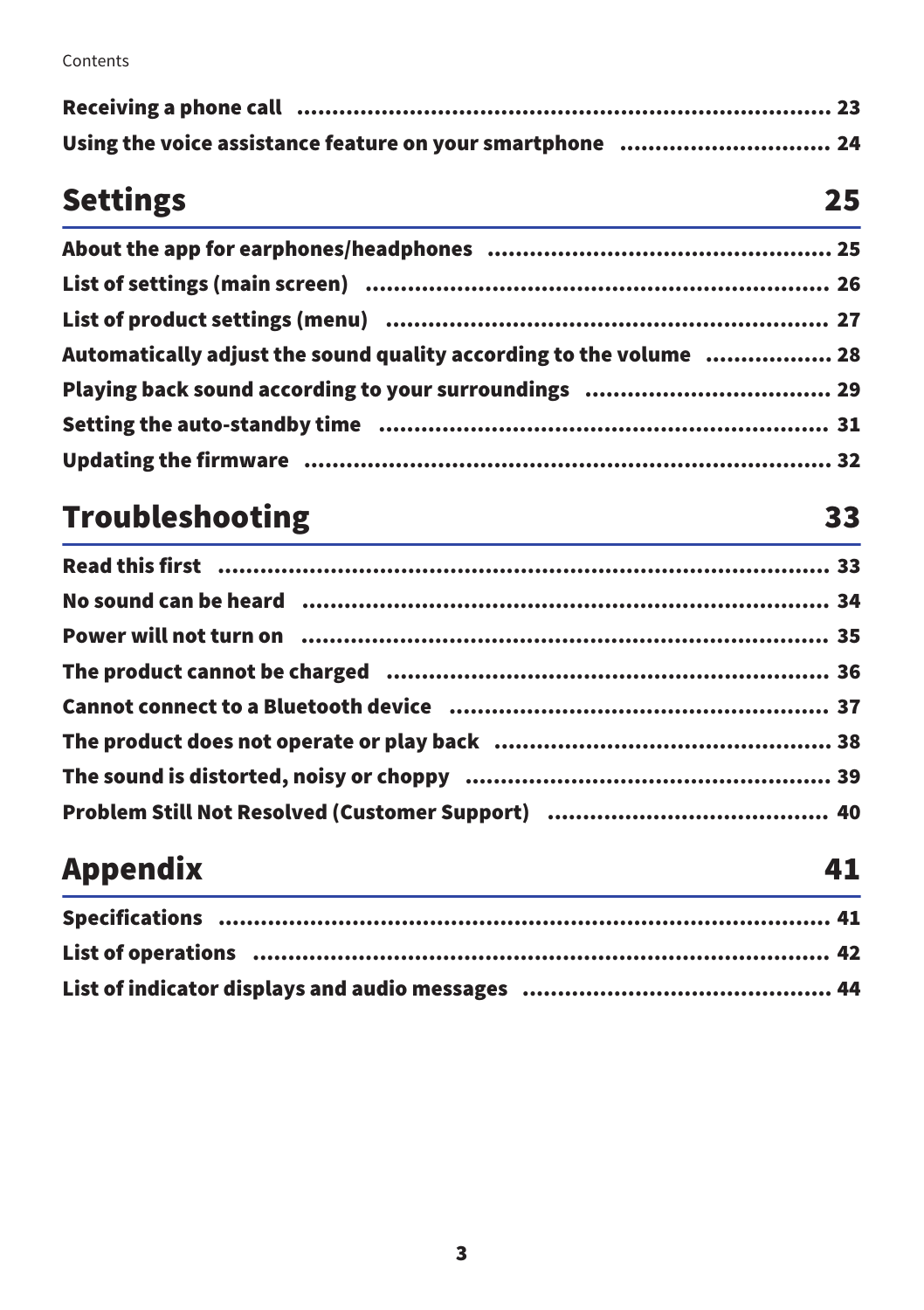Contents

| Using the voice assistance feature on your smartphone  24 |  |
|-----------------------------------------------------------|--|

### [Settings](#page-24-0) [25](#page-24-0)

| Automatically adjust the sound quality according to the volume  28 |  |
|--------------------------------------------------------------------|--|
|                                                                    |  |
|                                                                    |  |
|                                                                    |  |

# [Troubleshooting](#page-32-0) [33](#page-32-0)

| Read this first …………………………………………………………………………… 33   |  |
|----------------------------------------------------|--|
| No sound can be heard ………………………………………………………………… 34 |  |
|                                                    |  |
|                                                    |  |
|                                                    |  |
|                                                    |  |
|                                                    |  |
|                                                    |  |

### [Appendix](#page-40-0) [41](#page-40-0)

| List of operations ………………………………………………………………………… 42 |  |
|----------------------------------------------------|--|
|                                                    |  |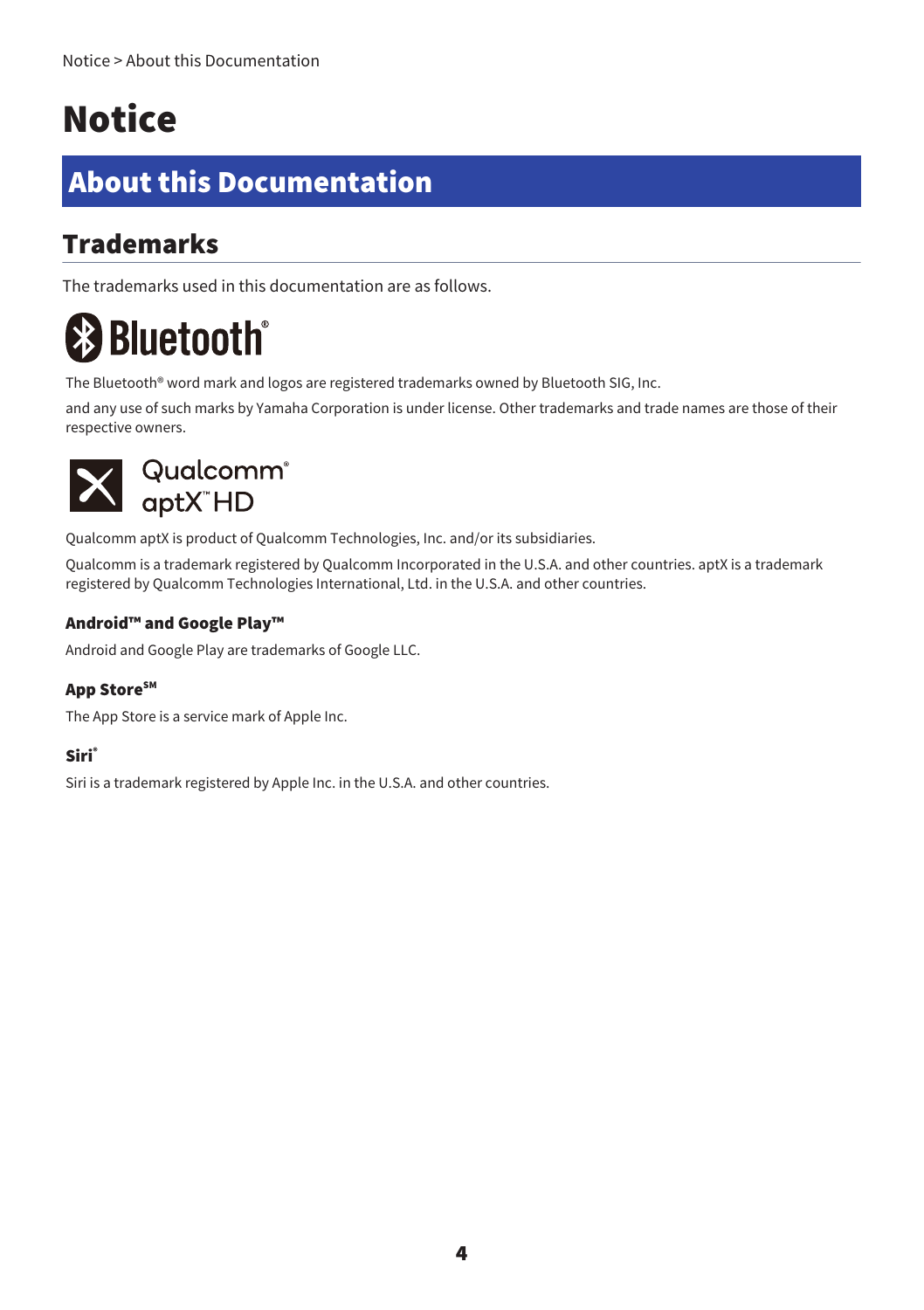# <span id="page-3-0"></span>**Notice**

### <span id="page-3-1"></span>About this Documentation

### <span id="page-3-2"></span>Trademarks

The trademarks used in this documentation are as follows.



The Bluetooth® word mark and logos are registered trademarks owned by Bluetooth SIG, Inc.

and any use of such marks by Yamaha Corporation is under license. Other trademarks and trade names are those of their respective owners.



Qualcomm<sup>。</sup><br>aptX¨HD

Qualcomm aptX is product of Qualcomm Technologies, Inc. and/or its subsidiaries.

Qualcomm is a trademark registered by Qualcomm Incorporated in the U.S.A. and other countries. aptX is a trademark registered by Qualcomm Technologies International, Ltd. in the U.S.A. and other countries.

#### Android™ and Google Play™

Android and Google Play are trademarks of Google LLC.

#### App Store<sup>SM</sup>

The App Store is a service mark of Apple Inc.

#### Siri®

Siri is a trademark registered by Apple Inc. in the U.S.A. and other countries.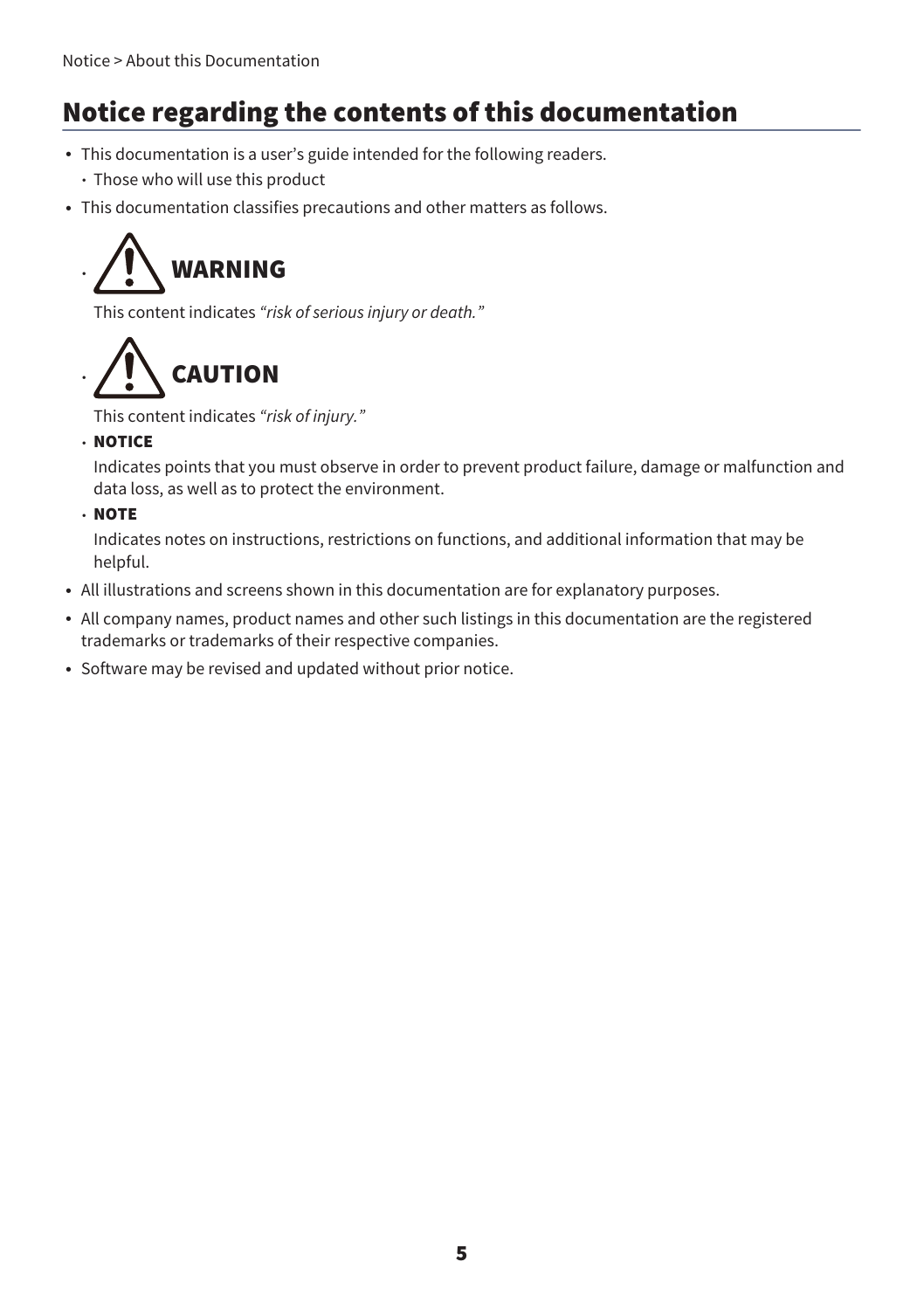### Notice regarding the contents of this documentation

- This documentation is a user's guide intended for the following readers.
	- $\cdot$  Those who will use this product
- This documentation classifies precautions and other matters as follows.



This content indicates *"risk of serious injury or death."*

# **CAUTION**

This content indicates *"risk of injury."*

( NOTICE

Indicates points that you must observe in order to prevent product failure, damage or malfunction and data loss, as well as to protect the environment.

( NOTE

Indicates notes on instructions, restrictions on functions, and additional information that may be helpful.

- All illustrations and screens shown in this documentation are for explanatory purposes.
- ( All company names, product names and other such listings in this documentation are the registered trademarks or trademarks of their respective companies.
- Software may be revised and updated without prior notice.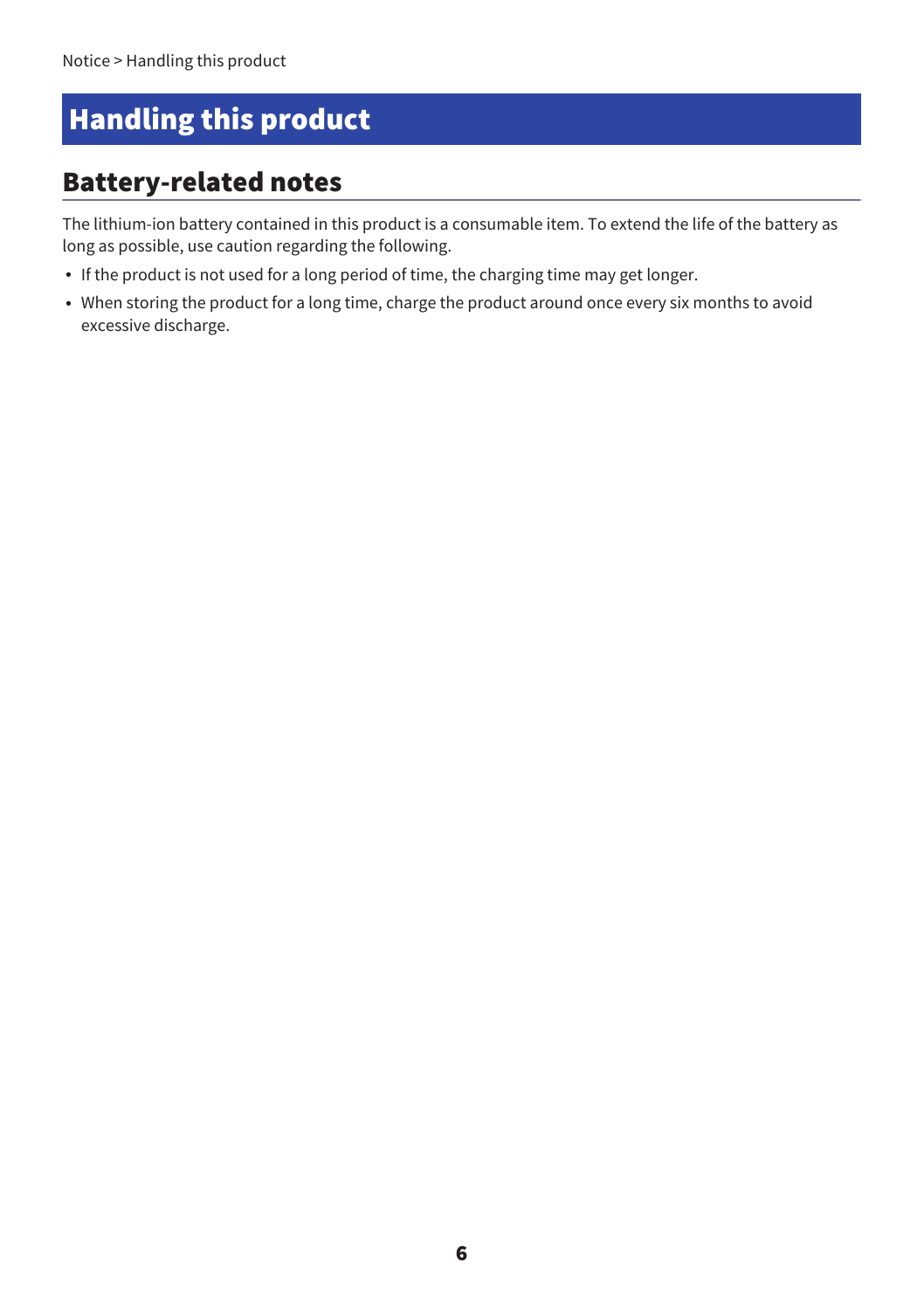### <span id="page-5-0"></span>Handling this product

### <span id="page-5-1"></span>Battery-related notes

The lithium-ion battery contained in this product is a consumable item. To extend the life of the battery as long as possible, use caution regarding the following.

- If the product is not used for a long period of time, the charging time may get longer.
- When storing the product for a long time, charge the product around once every six months to avoid excessive discharge.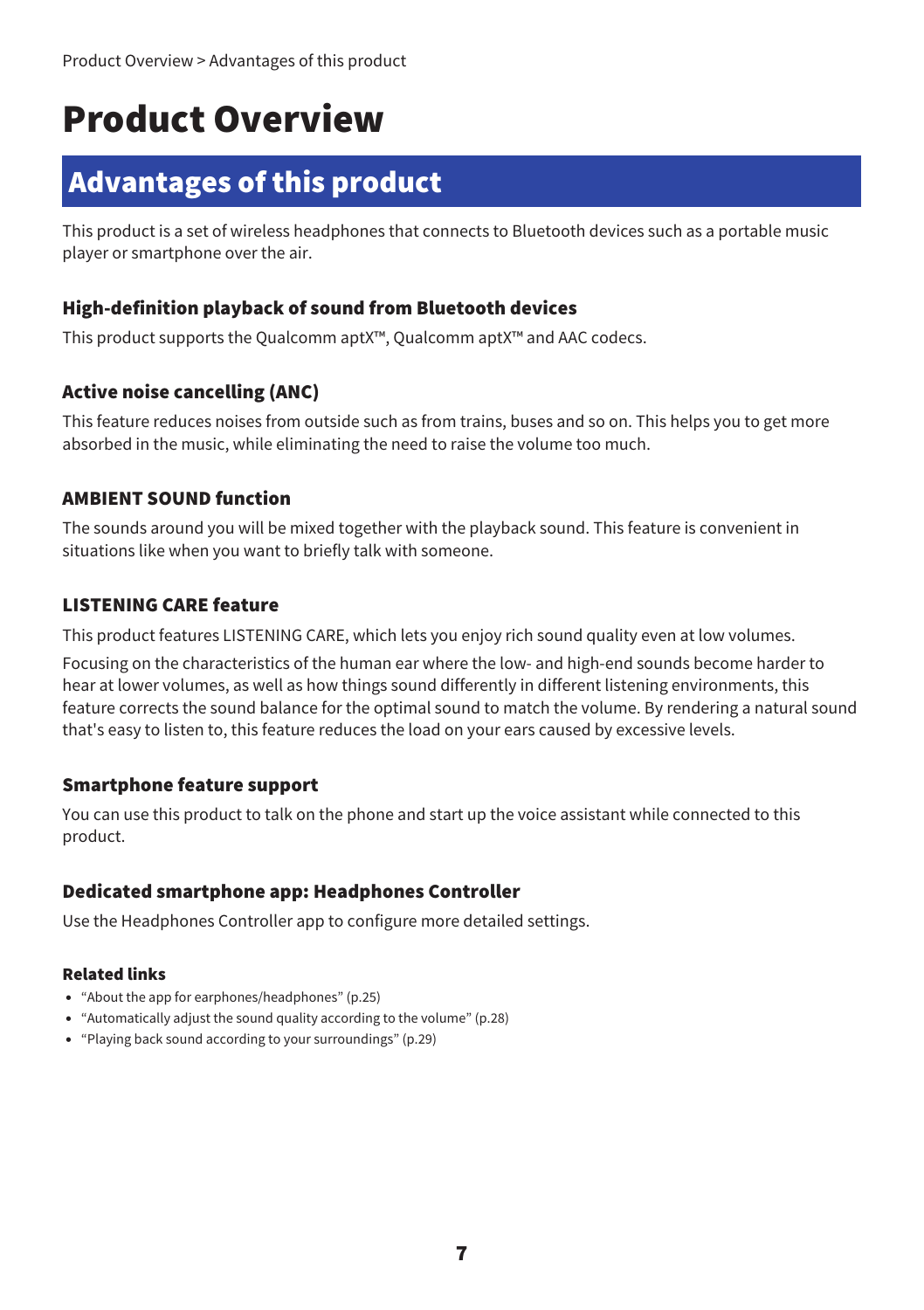## <span id="page-6-0"></span>Product Overview

### <span id="page-6-1"></span>Advantages of this product

This product is a set of wireless headphones that connects to Bluetooth devices such as a portable music player or smartphone over the air.

#### High-definition playback of sound from Bluetooth devices

This product supports the Qualcomm aptX™, Qualcomm aptX™ and AAC codecs.

#### Active noise cancelling (ANC)

This feature reduces noises from outside such as from trains, buses and so on. This helps you to get more absorbed in the music, while eliminating the need to raise the volume too much.

#### AMBIENT SOUND function

The sounds around you will be mixed together with the playback sound. This feature is convenient in situations like when you want to briefly talk with someone.

#### LISTENING CARE feature

This product features LISTENING CARE, which lets you enjoy rich sound quality even at low volumes.

Focusing on the characteristics of the human ear where the low- and high-end sounds become harder to hear at lower volumes, as well as how things sound differently in different listening environments, this feature corrects the sound balance for the optimal sound to match the volume. By rendering a natural sound that's easy to listen to, this feature reduces the load on your ears caused by excessive levels.

#### Smartphone feature support

You can use this product to talk on the phone and start up the voice assistant while connected to this product.

#### Dedicated smartphone app: Headphones Controller

Use the Headphones Controller app to configure more detailed settings.

- ( ["About the app for earphones/headphones" \(p.25\)](#page-24-1)
- ( ["Automatically adjust the sound quality according to the volume" \(p.28\)](#page-27-0)
- ( ["Playing back sound according to your surroundings" \(p.29\)](#page-28-0)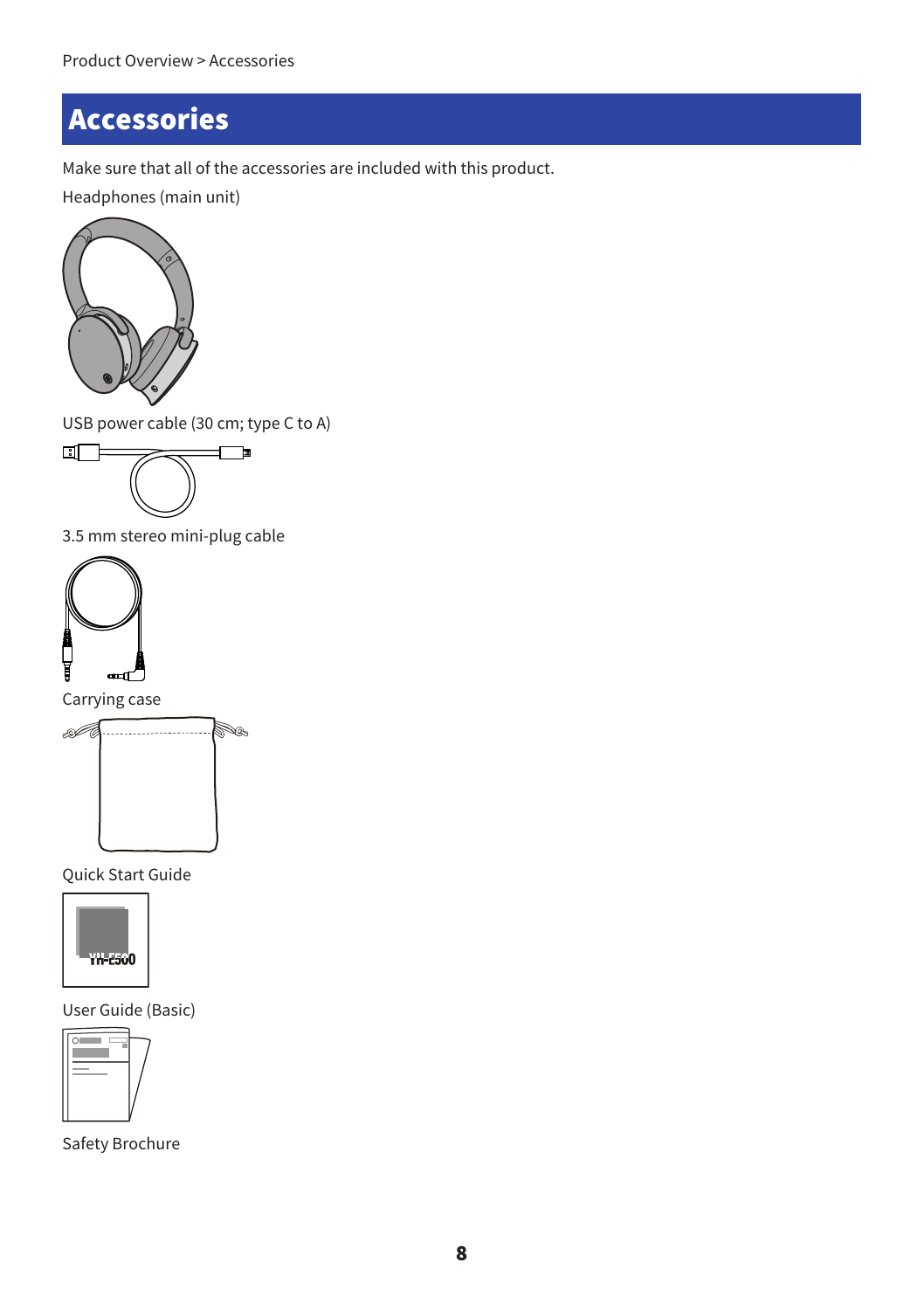### <span id="page-7-0"></span>**Accessories**

Make sure that all of the accessories are included with this product.

Headphones (main unit)



USB power cable (30 cm; type C to A)



3.5 mm stereo mini-plug cable



Carrying case



Quick Start Guide



User Guide (Basic)



Safety Brochure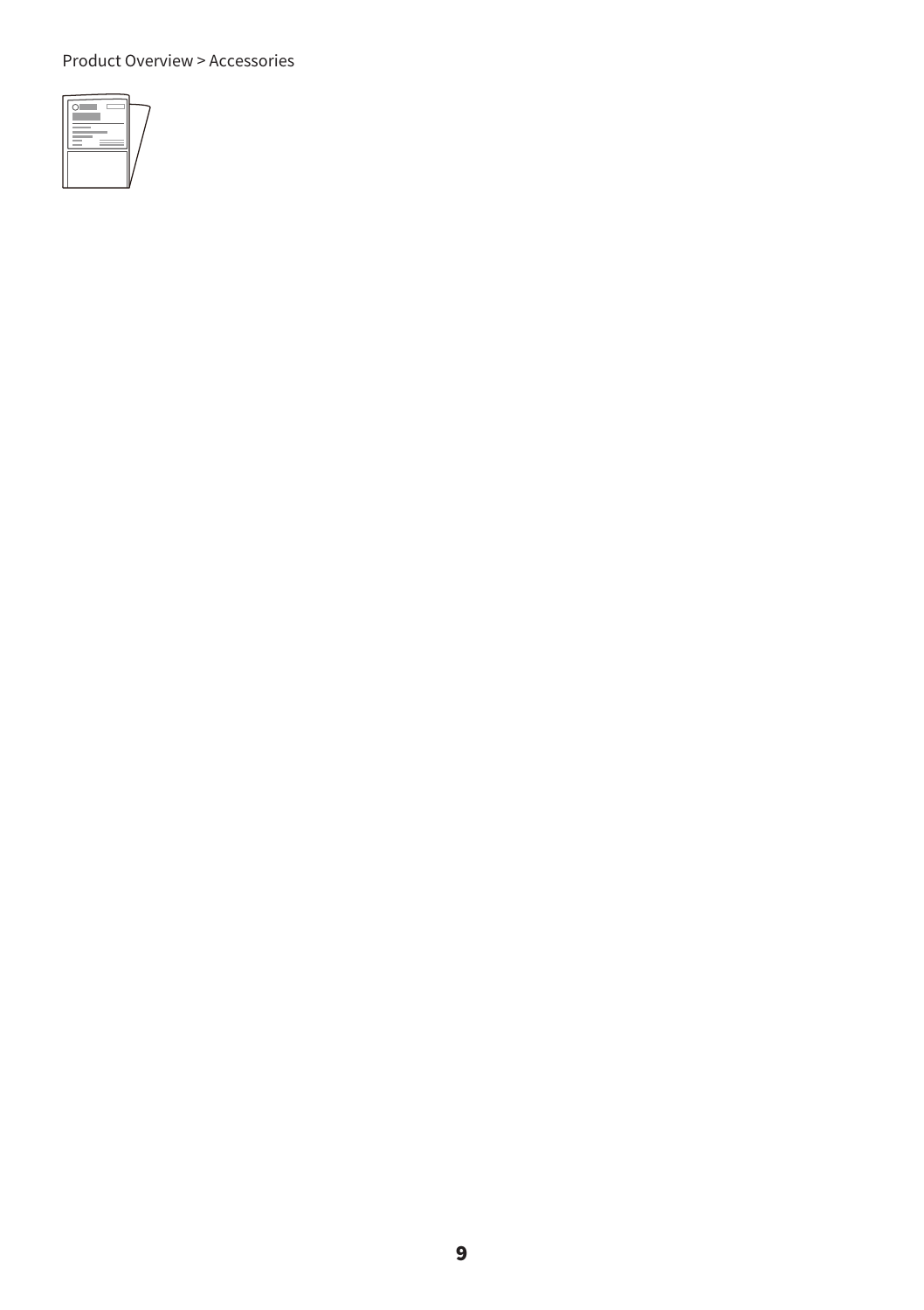Product Overview > Accessories

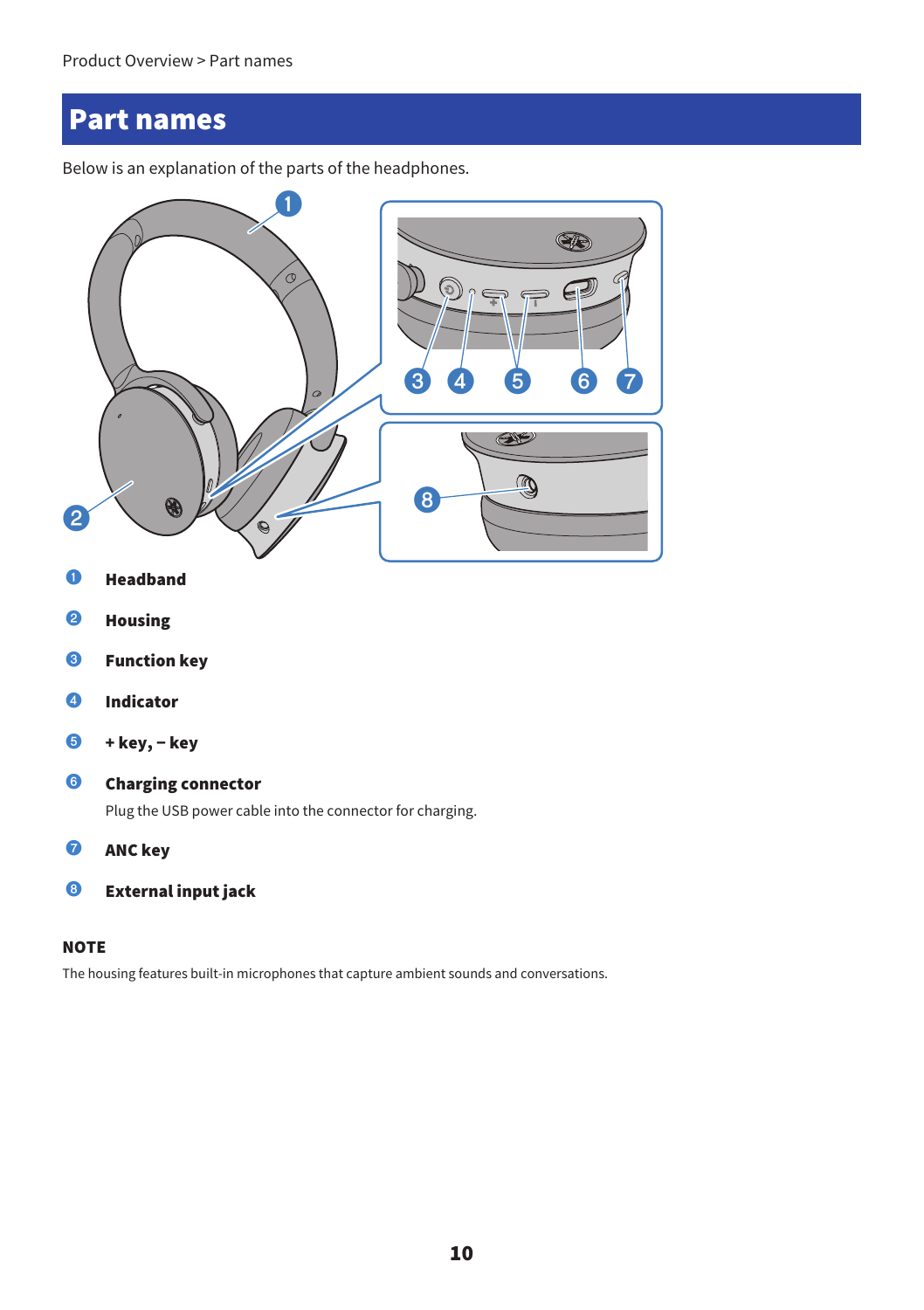### <span id="page-9-0"></span>Part names

Below is an explanation of the parts of the headphones.



- <sup>2</sup> Housing
- <sup>6</sup> Function key
- **4** Indicator
- $\Theta$  + key, key
- **6** Charging connector

Plug the USB power cable into the connector for charging.

- *D* ANC key
- **8** External input jack

#### **NOTE**

The housing features built-in microphones that capture ambient sounds and conversations.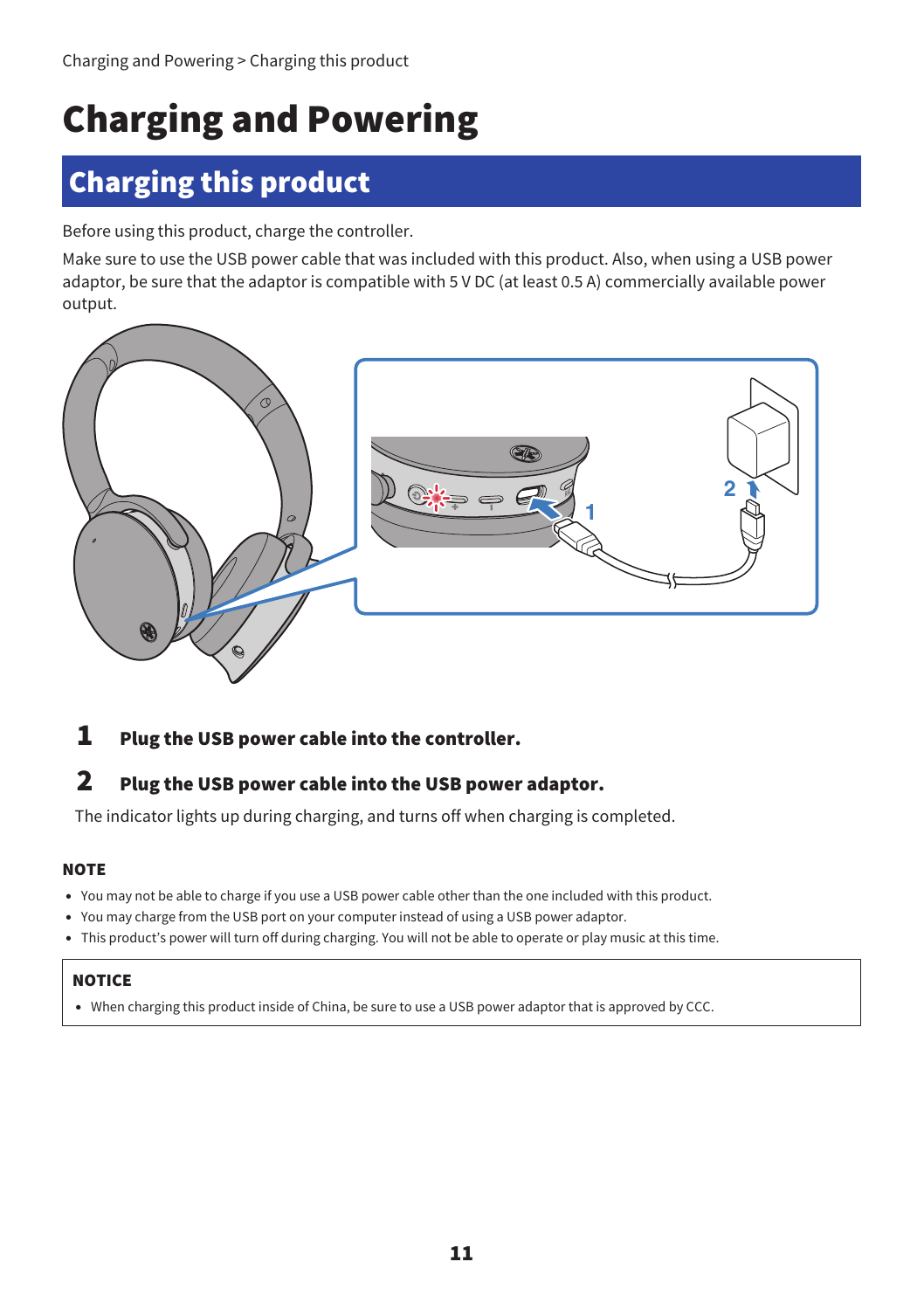# <span id="page-10-0"></span>Charging and Powering

### <span id="page-10-1"></span>Charging this product

Before using this product, charge the controller.

Make sure to use the USB power cable that was included with this product. Also, when using a USB power adaptor, be sure that the adaptor is compatible with 5 V DC (at least 0.5 A) commercially available power output.



 $1$  Plug the USB power cable into the controller.

#### 2 Plug the USB power cable into the USB power adaptor.

The indicator lights up during charging, and turns off when charging is completed.

#### **NOTE**

- ( You may not be able to charge if you use a USB power cable other than the one included with this product.
- You may charge from the USB port on your computer instead of using a USB power adaptor.
- This product's power will turn off during charging. You will not be able to operate or play music at this time.

#### NOTICE

• When charging this product inside of China, be sure to use a USB power adaptor that is approved by CCC.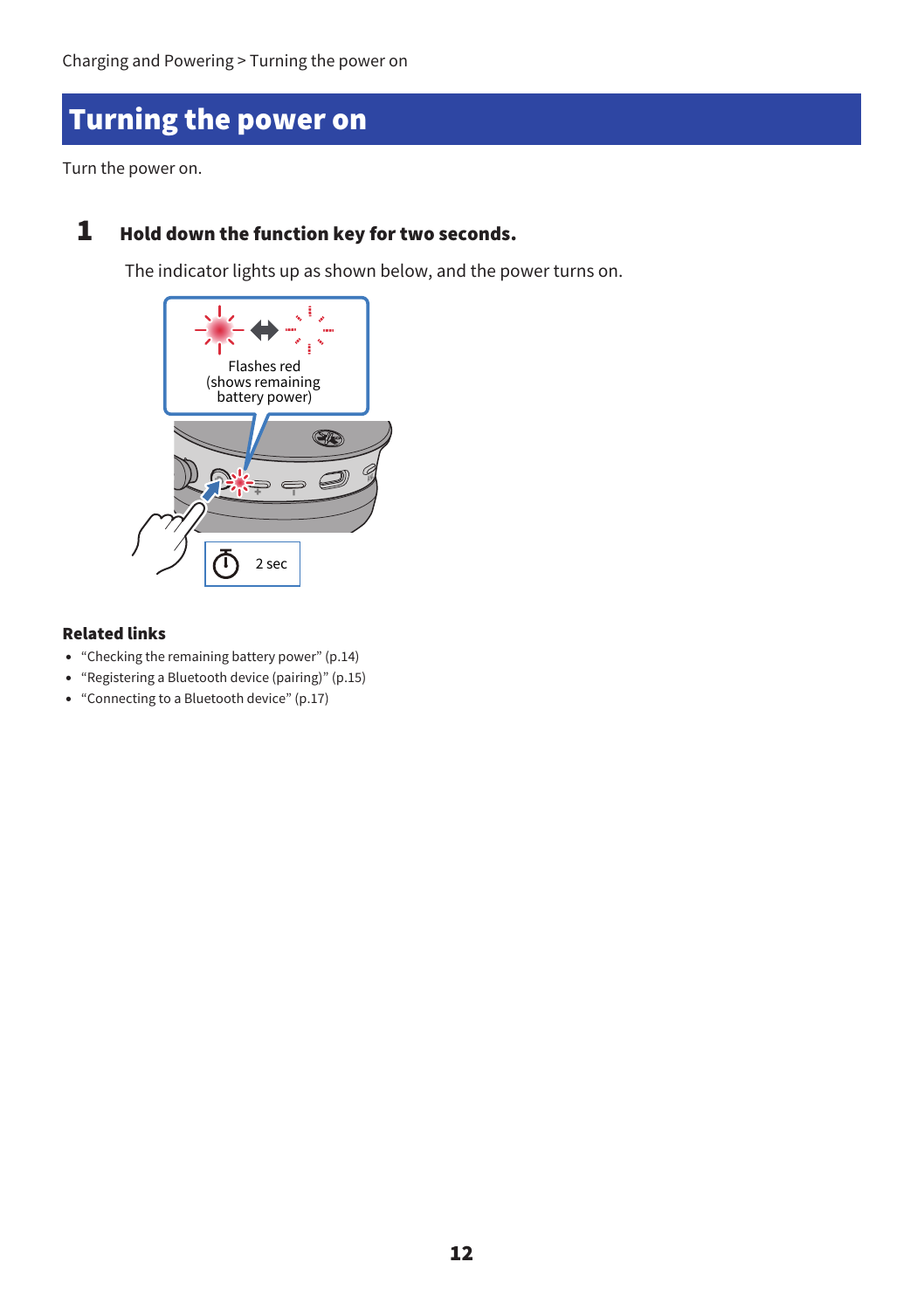### <span id="page-11-0"></span>Turning the power on

Turn the power on.

#### 1 Hold down the function key for two seconds.

The indicator lights up as shown below, and the power turns on.



- ["Checking the remaining battery power" \(p.14\)](#page-13-0)
- ["Registering a Bluetooth device \(pairing\)" \(p.15\)](#page-14-1)
- ["Connecting to a Bluetooth device" \(p.17\)](#page-16-0)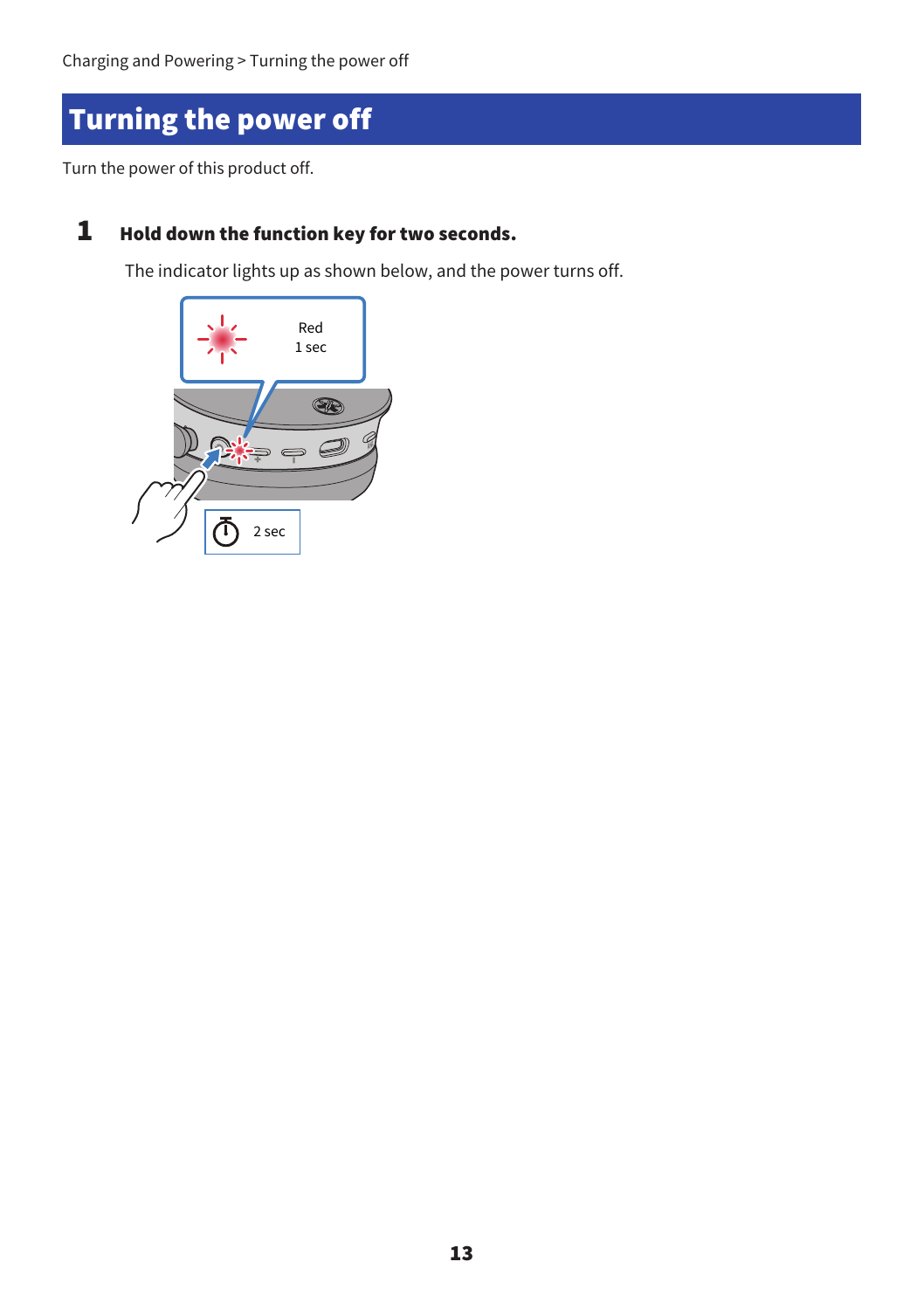### <span id="page-12-0"></span>Turning the power off

Turn the power of this product off.

#### 1 Hold down the function key for two seconds.

The indicator lights up as shown below, and the power turns off.

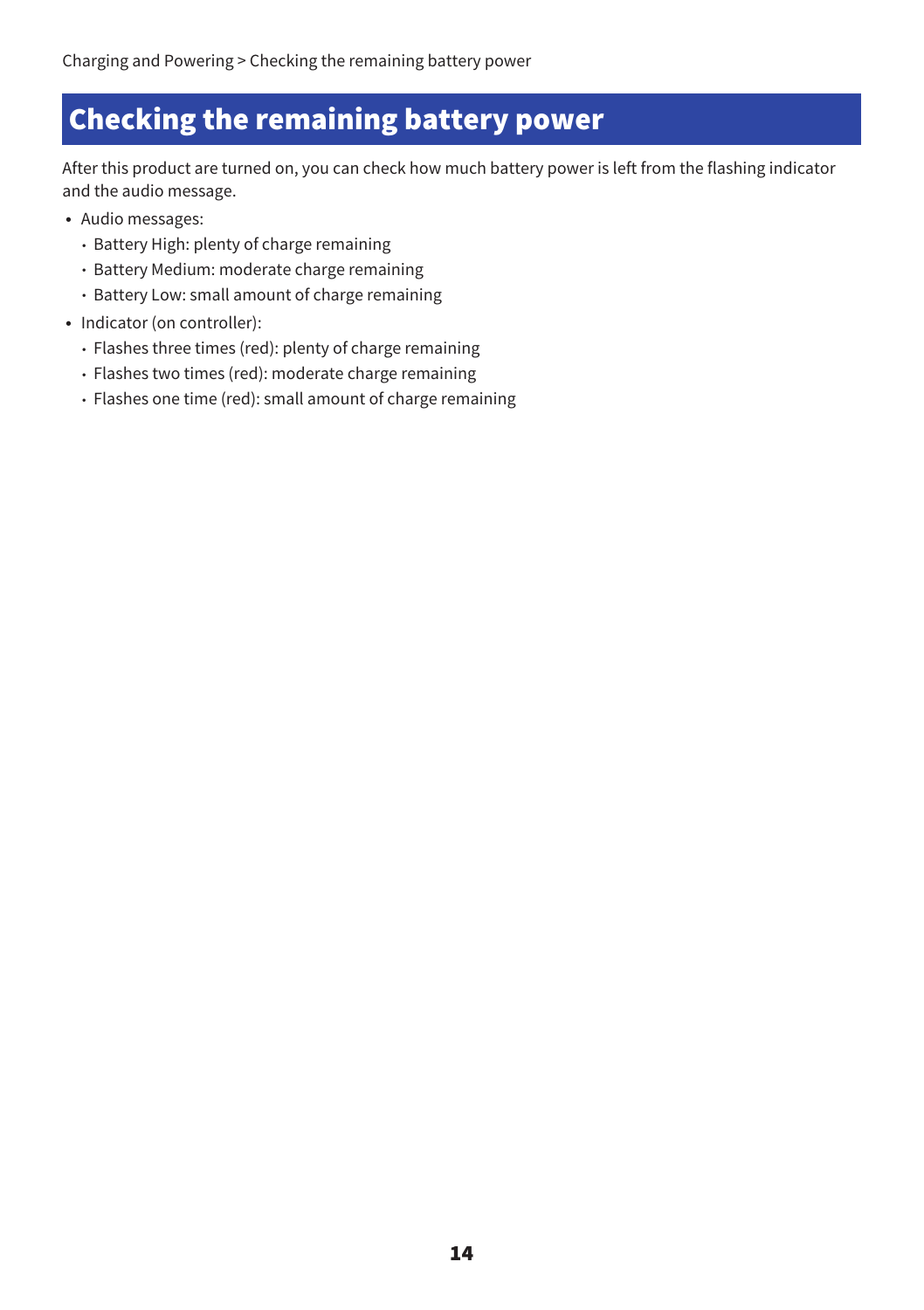### <span id="page-13-0"></span>Checking the remaining battery power

After this product are turned on, you can check how much battery power is left from the flashing indicator and the audio message.

- Audio messages:
	- Battery High: plenty of charge remaining
	- Battery Medium: moderate charge remaining
	- Battery Low: small amount of charge remaining
- Indicator (on controller):
	- Flashes three times (red): plenty of charge remaining
	- Flashes two times (red): moderate charge remaining
	- ( Flashes one time (red): small amount of charge remaining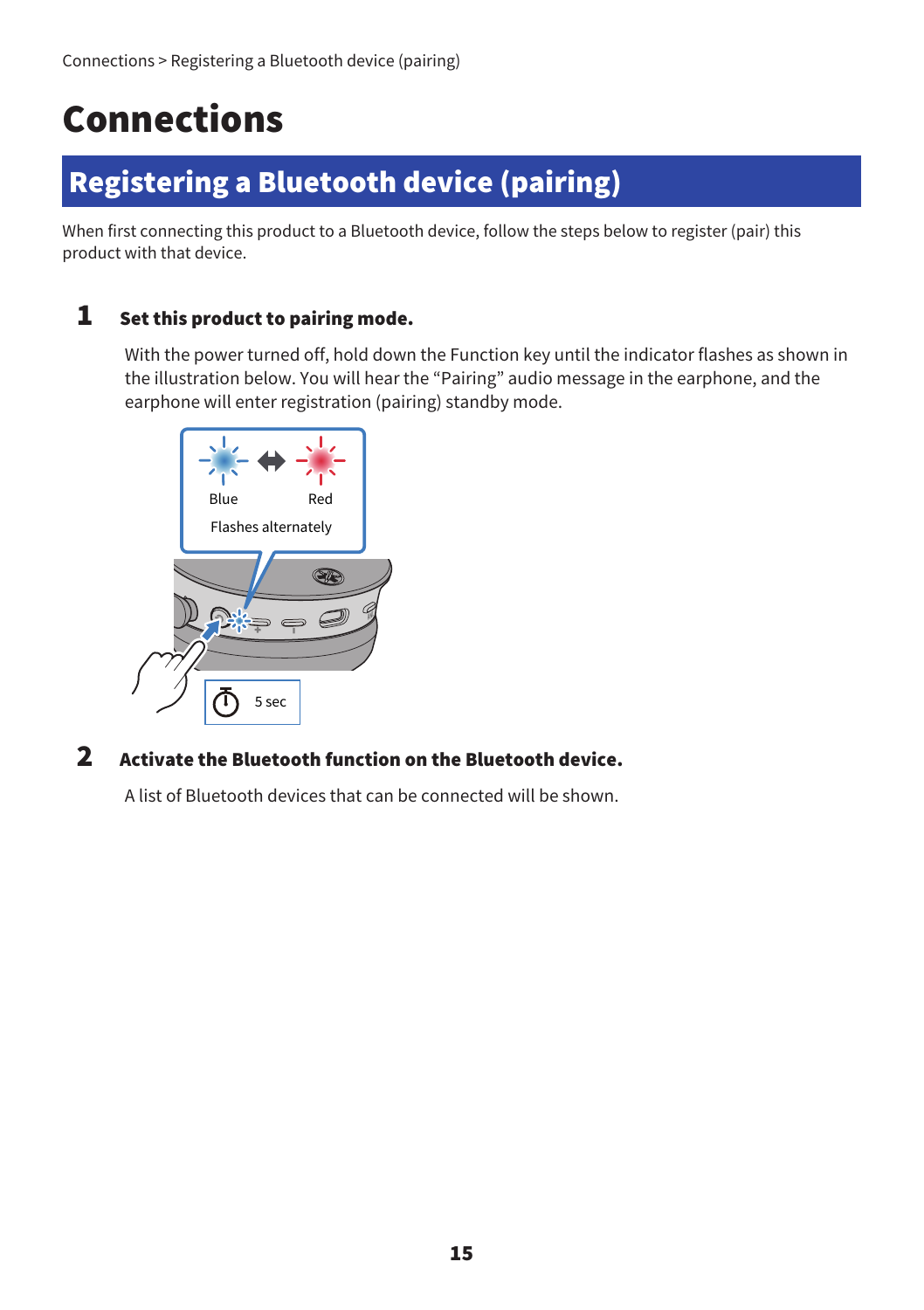# <span id="page-14-0"></span>Connections

### <span id="page-14-1"></span>Registering a Bluetooth device (pairing)

When first connecting this product to a Bluetooth device, follow the steps below to register (pair) this product with that device.

#### $1$  Set this product to pairing mode.

With the power turned off, hold down the Function key until the indicator flashes as shown in the illustration below. You will hear the "Pairing" audio message in the earphone, and the earphone will enter registration (pairing) standby mode.



2 Activate the Bluetooth function on the Bluetooth device.

A list of Bluetooth devices that can be connected will be shown.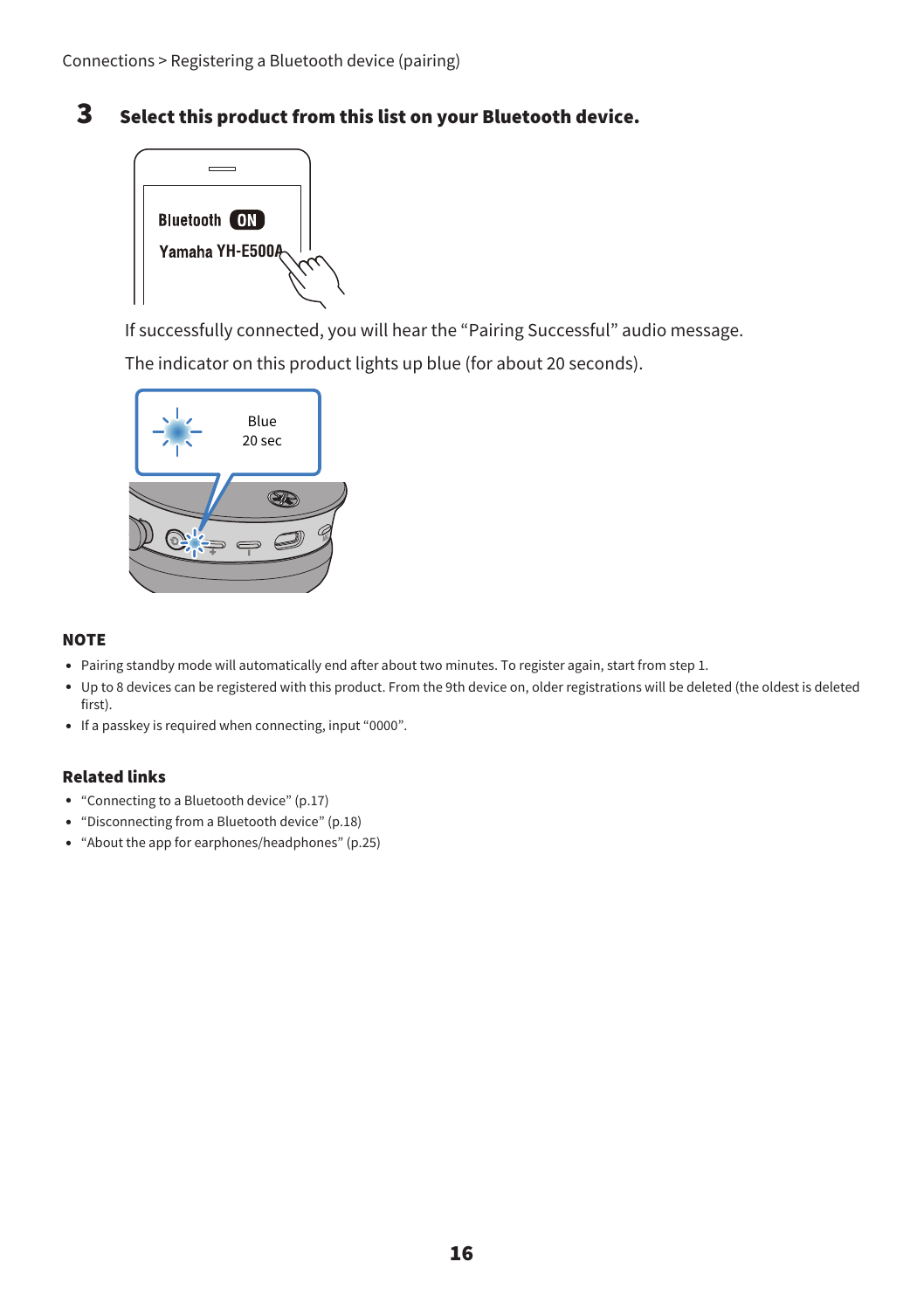3 Select this product from this list on your Bluetooth device.



If successfully connected, you will hear the "Pairing Successful" audio message. The indicator on this product lights up blue (for about 20 seconds).



#### **NOTE**

- Pairing standby mode will automatically end after about two minutes. To register again, start from step 1.
- Up to 8 devices can be registered with this product. From the 9th device on, older registrations will be deleted (the oldest is deleted first).
- If a passkey is required when connecting, input "0000".

- ( ["Connecting to a Bluetooth device" \(p.17\)](#page-16-0)
- ( ["Disconnecting from a Bluetooth device" \(p.18\)](#page-17-0)
- ( ["About the app for earphones/headphones" \(p.25\)](#page-24-1)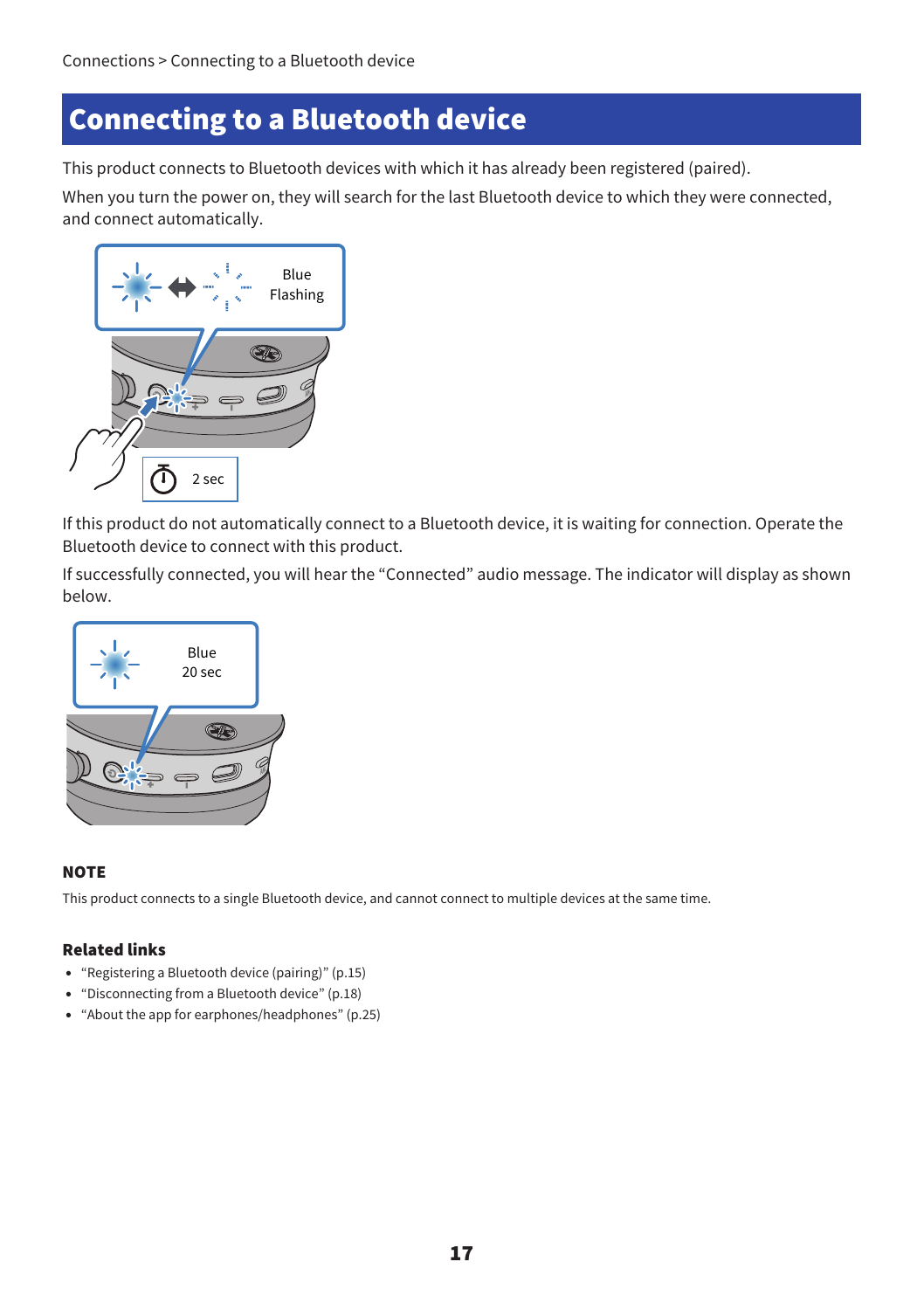### <span id="page-16-0"></span>Connecting to a Bluetooth device

This product connects to Bluetooth devices with which it has already been registered (paired).

When you turn the power on, they will search for the last Bluetooth device to which they were connected, and connect automatically.



If this product do not automatically connect to a Bluetooth device, it is waiting for connection. Operate the Bluetooth device to connect with this product.

If successfully connected, you will hear the "Connected" audio message. The indicator will display as shown below.



#### **NOTE**

This product connects to a single Bluetooth device, and cannot connect to multiple devices at the same time.

- ["Registering a Bluetooth device \(pairing\)" \(p.15\)](#page-14-1)
- ["Disconnecting from a Bluetooth device" \(p.18\)](#page-17-0)
- ( ["About the app for earphones/headphones" \(p.25\)](#page-24-1)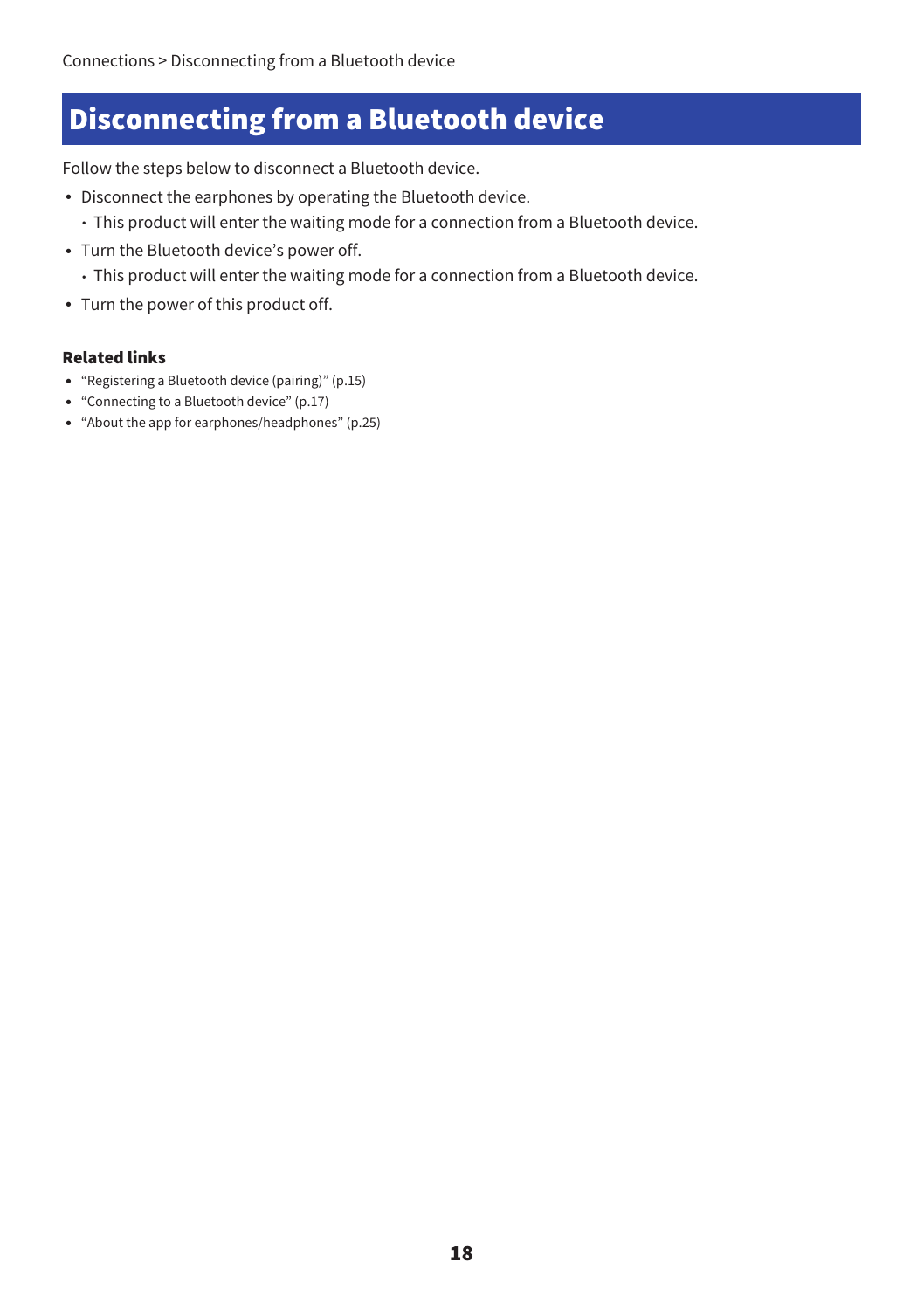### <span id="page-17-0"></span>Disconnecting from a Bluetooth device

Follow the steps below to disconnect a Bluetooth device.

- Disconnect the earphones by operating the Bluetooth device.
	- $\cdot$  This product will enter the waiting mode for a connection from a Bluetooth device.
- Turn the Bluetooth device's power off.
	- $\cdot$  This product will enter the waiting mode for a connection from a Bluetooth device.
- Turn the power of this product off.

- ["Registering a Bluetooth device \(pairing\)" \(p.15\)](#page-14-1)
- ["Connecting to a Bluetooth device" \(p.17\)](#page-16-0)
- ( ["About the app for earphones/headphones" \(p.25\)](#page-24-1)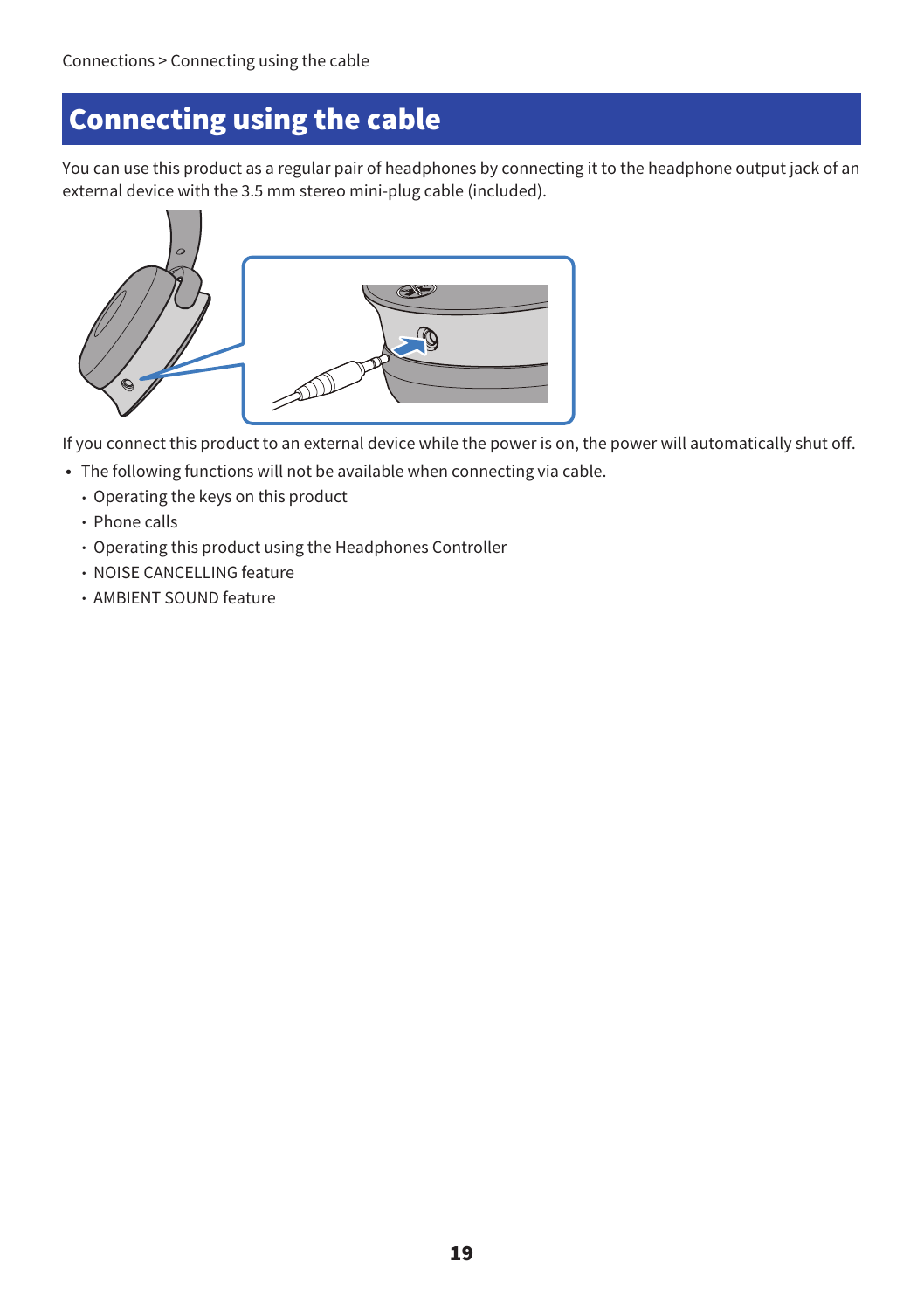### <span id="page-18-0"></span>Connecting using the cable

You can use this product as a regular pair of headphones by connecting it to the headphone output jack of an external device with the 3.5 mm stereo mini-plug cable (included).



If you connect this product to an external device while the power is on, the power will automatically shut off.

- The following functions will not be available when connecting via cable.
	- $\cdot$  Operating the keys on this product
	- Phone calls
	- Operating this product using the Headphones Controller
	- NOISE CANCELLING feature
	- AMBIENT SOUND feature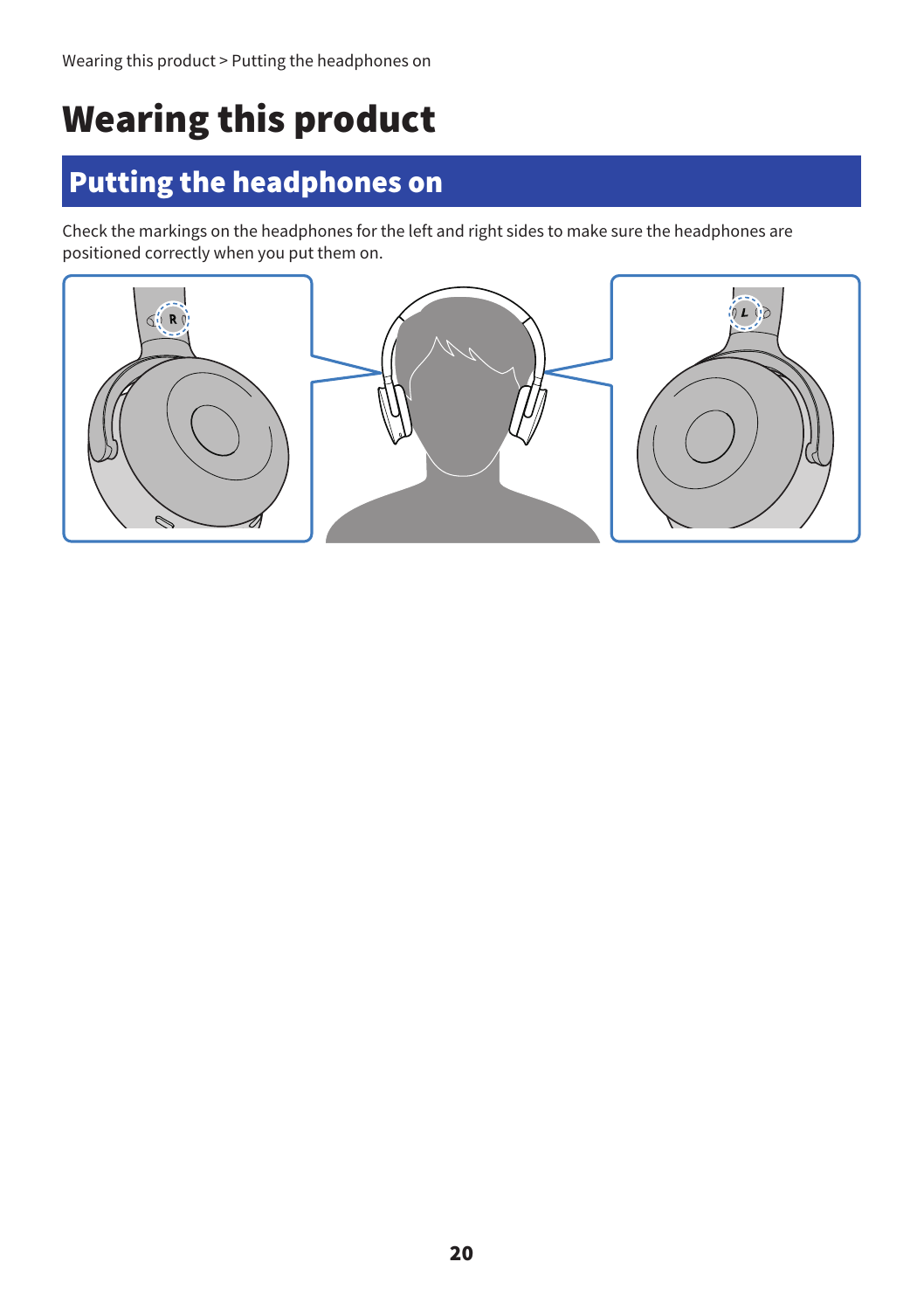# <span id="page-19-0"></span>Wearing this product

### <span id="page-19-1"></span>Putting the headphones on

Check the markings on the headphones for the left and right sides to make sure the headphones are positioned correctly when you put them on.

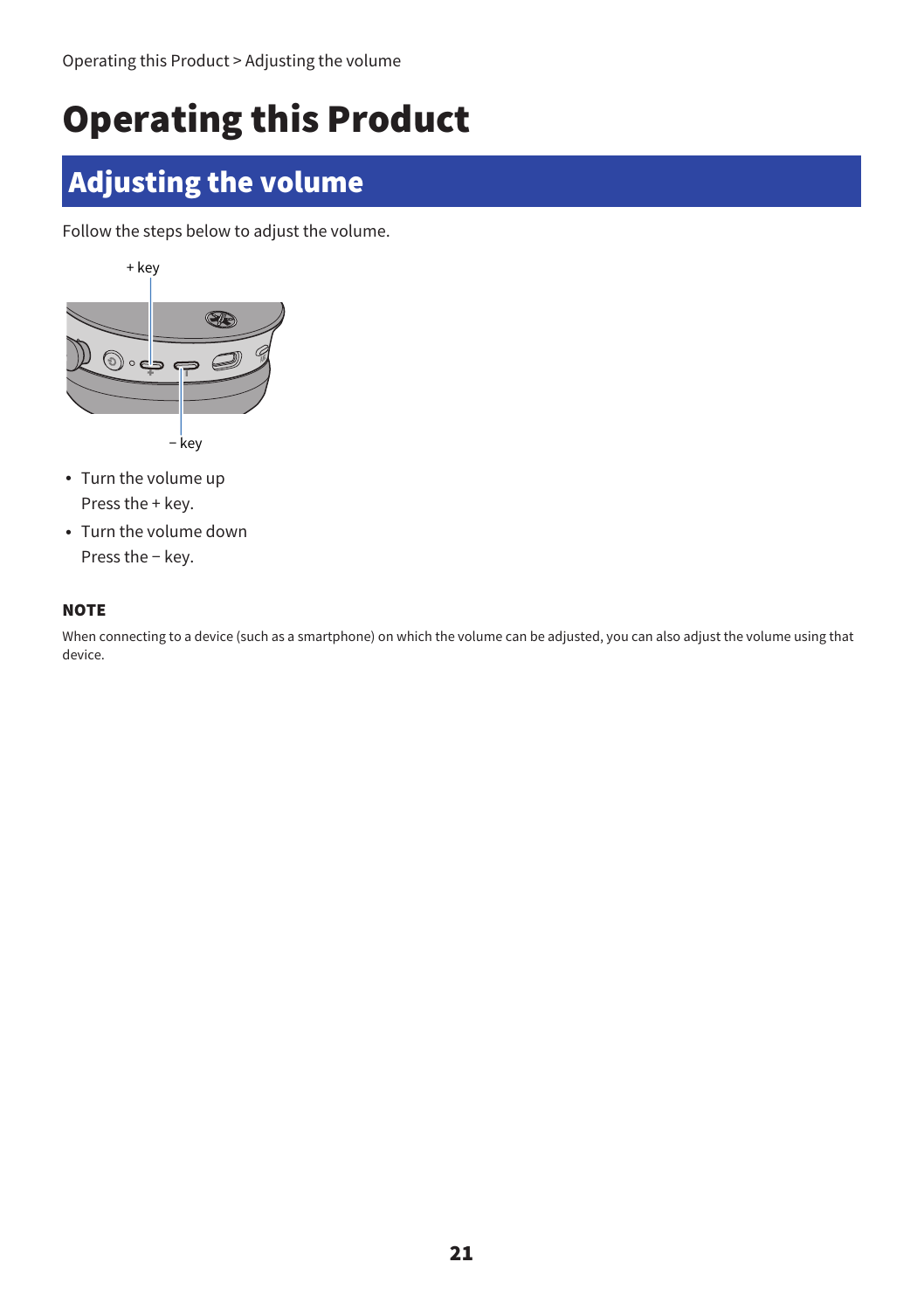# <span id="page-20-0"></span>Operating this Product

### <span id="page-20-1"></span>Adjusting the volume

Follow the steps below to adjust the volume.



- Turn the volume up Press the + key.
- Turn the volume down Press the − key.

#### **NOTE**

When connecting to a device (such as a smartphone) on which the volume can be adjusted, you can also adjust the volume using that device.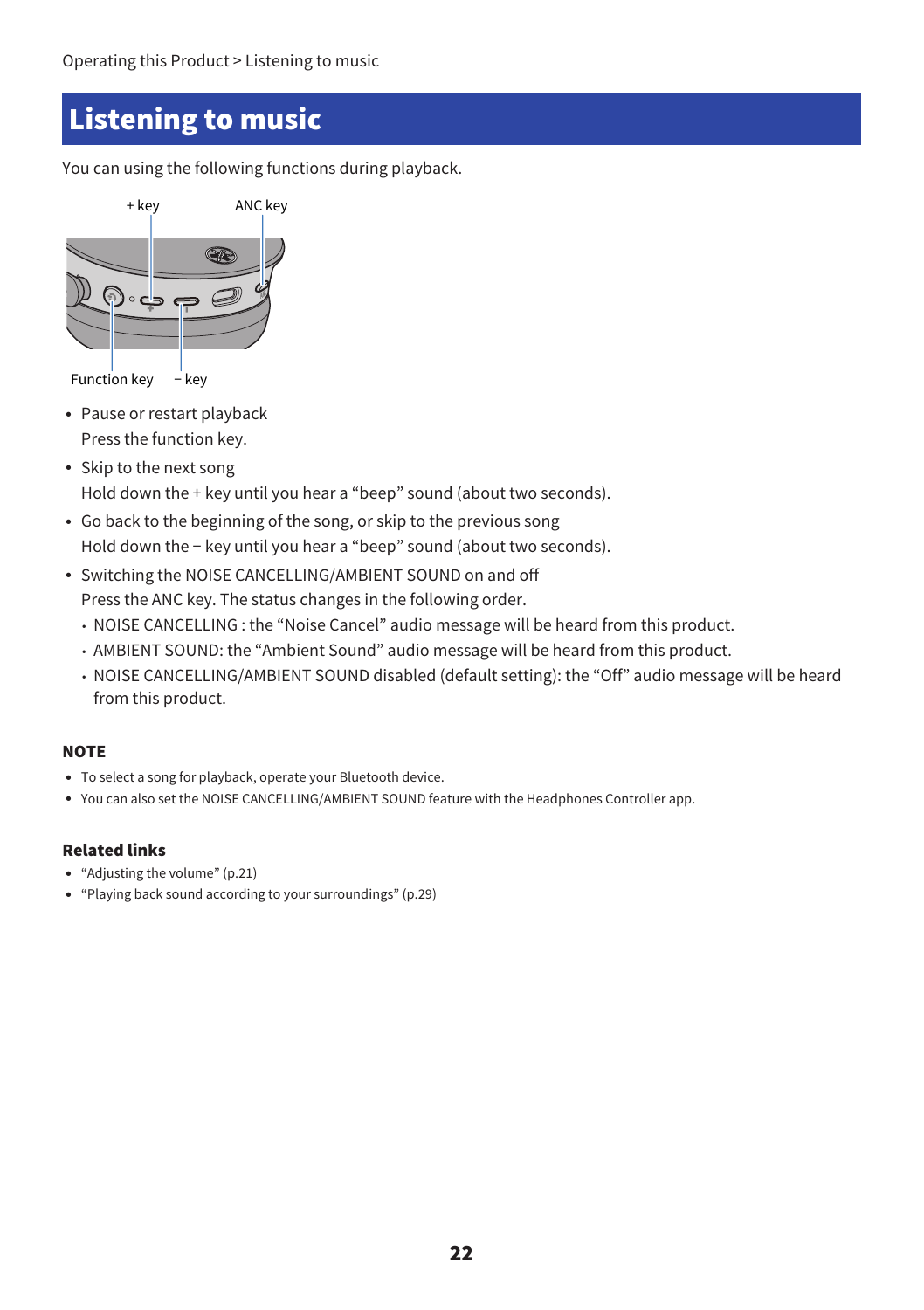### <span id="page-21-0"></span>Listening to music

You can using the following functions during playback.



Function key − key

- Pause or restart playback Press the function key.
- Skip to the next song Hold down the + key until you hear a "beep" sound (about two seconds).
- Go back to the beginning of the song, or skip to the previous song Hold down the − key until you hear a "beep" sound (about two seconds).
- Switching the NOISE CANCELLING/AMBIENT SOUND on and off Press the ANC key. The status changes in the following order.
	- NOISE CANCELLING : the "Noise Cancel" audio message will be heard from this product.
	- ( AMBIENT SOUND: the "Ambient Sound" audio message will be heard from this product.
	- ( NOISE CANCELLING/AMBIENT SOUND disabled (default setting): the "Off" audio message will be heard from this product.

#### **NOTE**

- To select a song for playback, operate your Bluetooth device.
- ( You can also set the NOISE CANCELLING/AMBIENT SOUND feature with the Headphones Controller app.

- ["Adjusting the volume" \(p.21\)](#page-20-1)
- ( ["Playing back sound according to your surroundings" \(p.29\)](#page-28-0)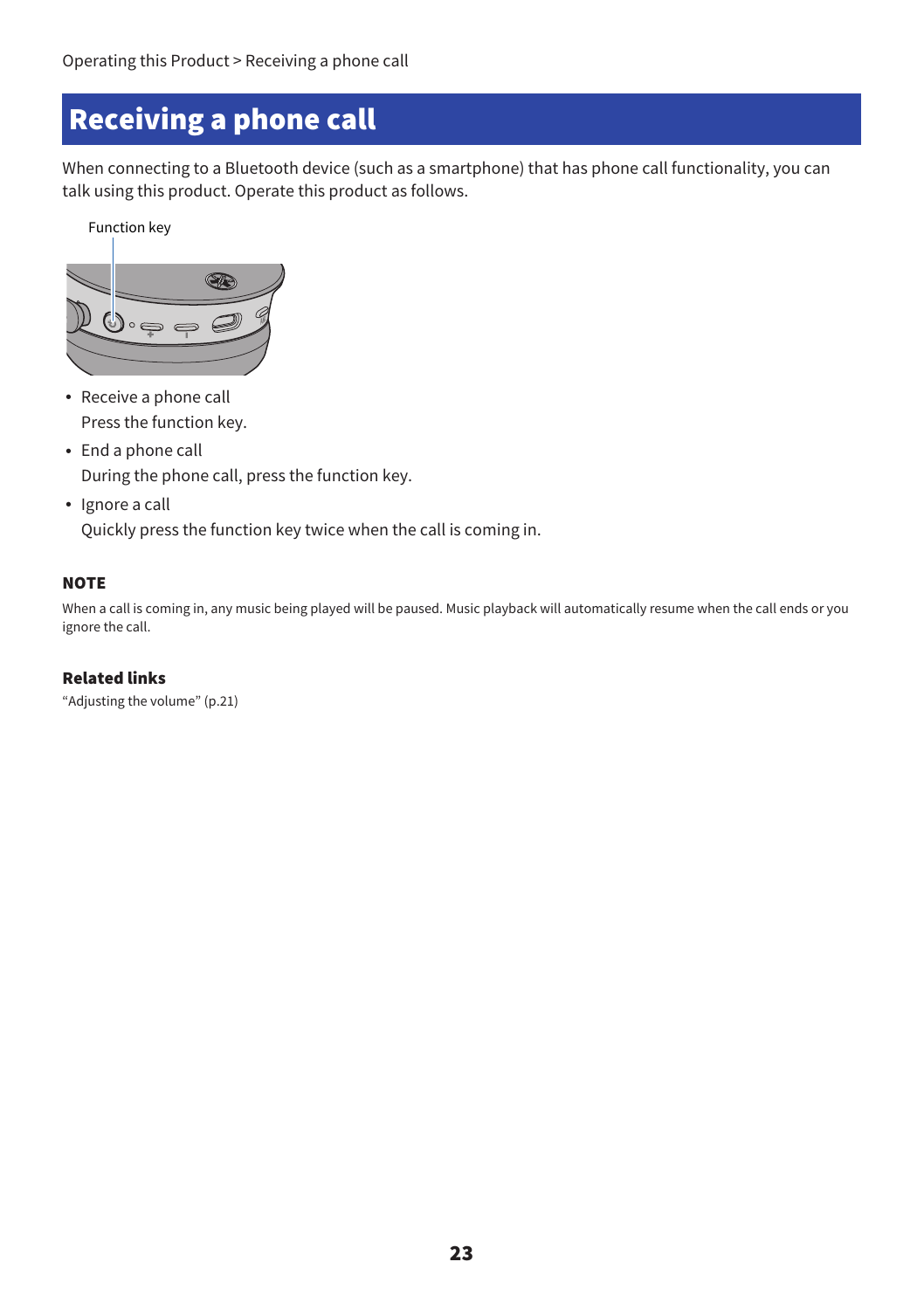### <span id="page-22-0"></span>Receiving a phone call

When connecting to a Bluetooth device (such as a smartphone) that has phone call functionality, you can talk using this product. Operate this product as follows.





- Receive a phone call Press the function key.
- End a phone call During the phone call, press the function key.
- Ignore a call

Quickly press the function key twice when the call is coming in.

#### **NOTE**

When a call is coming in, any music being played will be paused. Music playback will automatically resume when the call ends or you ignore the call.

#### Related links

["Adjusting the volume" \(p.21\)](#page-20-1)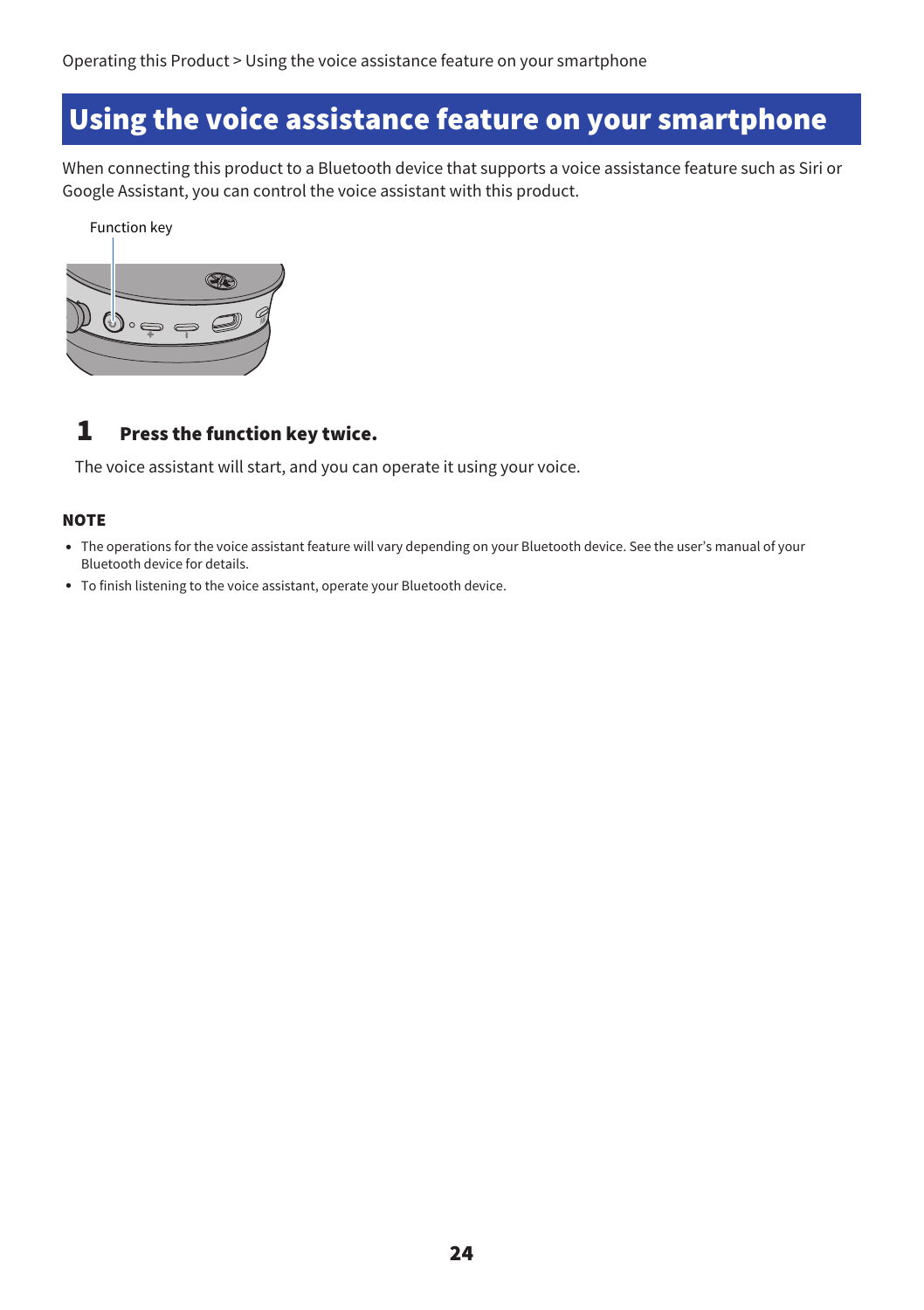### <span id="page-23-0"></span>Using the voice assistance feature on your smartphone

When connecting this product to a Bluetooth device that supports a voice assistance feature such as Siri or Google Assistant, you can control the voice assistant with this product.



#### $\boldsymbol{1}$  Press the function key twice.

The voice assistant will start, and you can operate it using your voice.

#### **NOTE**

- The operations for the voice assistant feature will vary depending on your Bluetooth device. See the user's manual of your Bluetooth device for details.
- To finish listening to the voice assistant, operate your Bluetooth device.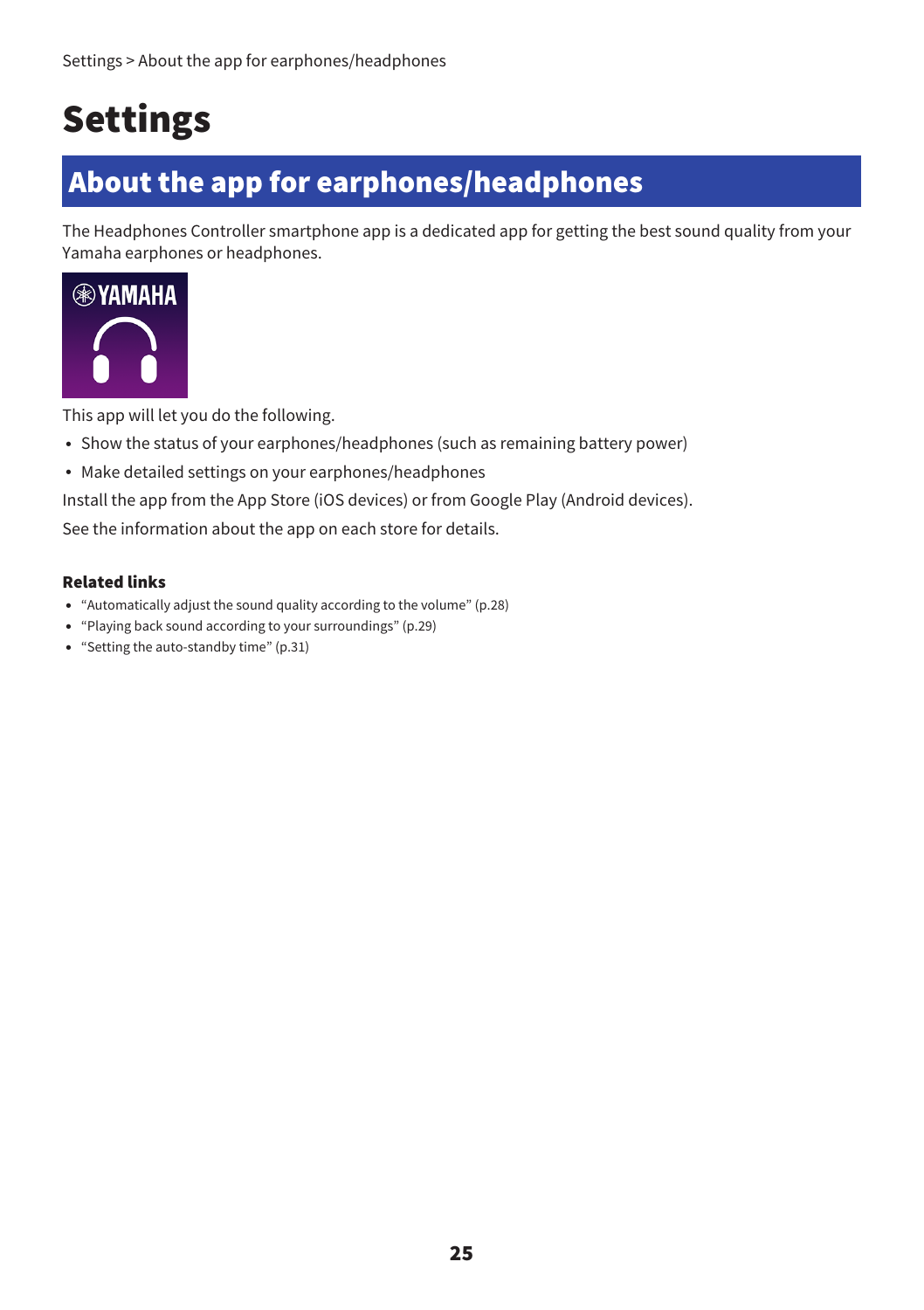# <span id="page-24-0"></span>Settings

### <span id="page-24-1"></span>About the app for earphones/headphones

The Headphones Controller smartphone app is a dedicated app for getting the best sound quality from your Yamaha earphones or headphones.



This app will let you do the following.

- Show the status of your earphones/headphones (such as remaining battery power)
- Make detailed settings on your earphones/headphones

Install the app from the App Store (iOS devices) or from Google Play (Android devices).

See the information about the app on each store for details.

- ( ["Automatically adjust the sound quality according to the volume" \(p.28\)](#page-27-0)
- ( ["Playing back sound according to your surroundings" \(p.29\)](#page-28-0)
- ["Setting the auto-standby time" \(p.31\)](#page-30-0)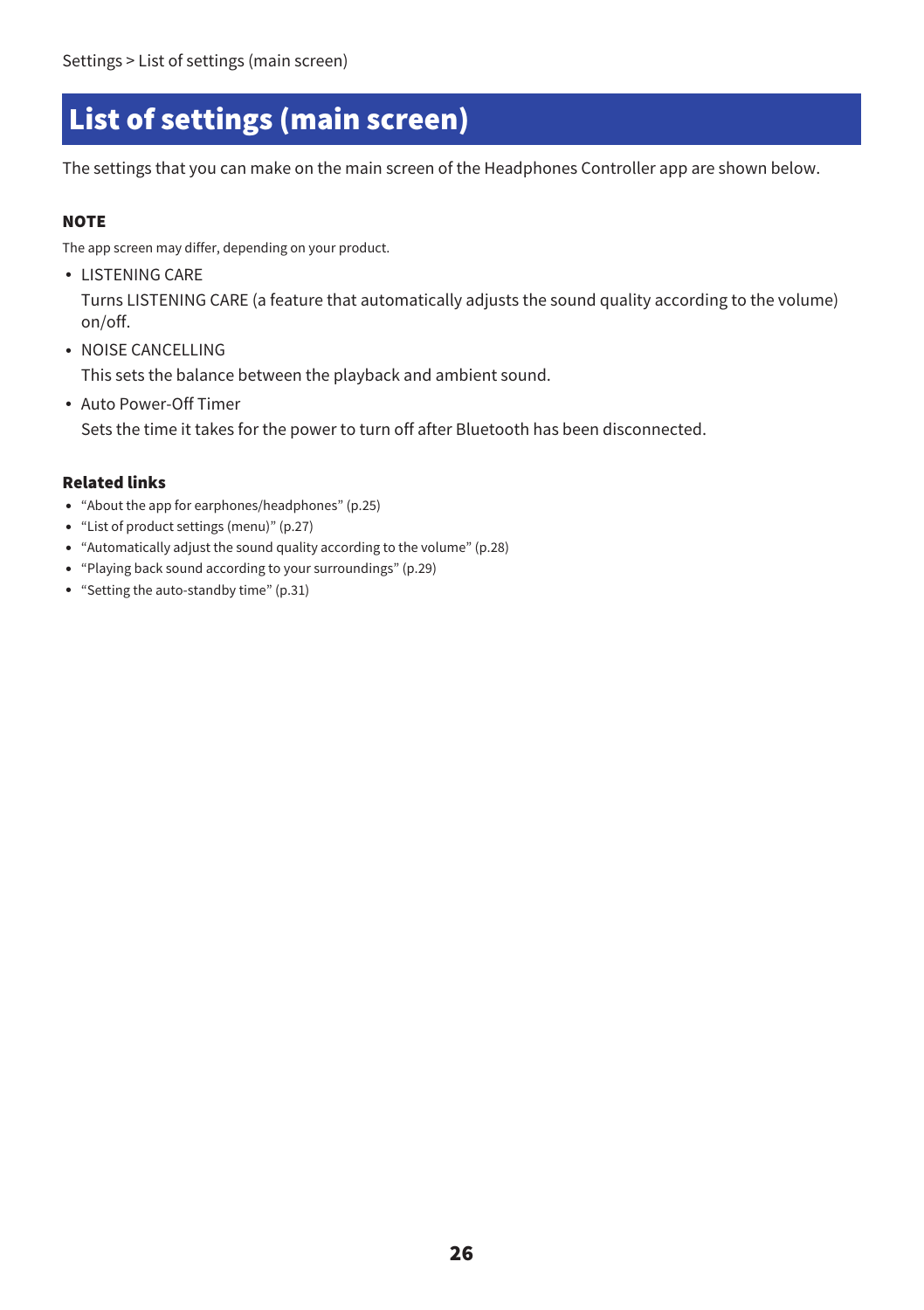### <span id="page-25-0"></span>List of settings (main screen)

The settings that you can make on the main screen of the Headphones Controller app are shown below.

#### **NOTE**

The app screen may differ, depending on your product.

• LISTENING CARE

Turns LISTENING CARE (a feature that automatically adjusts the sound quality according to the volume) on/off.

- NOISE CANCELLING This sets the balance between the playback and ambient sound.
- Auto Power-Off Timer

Sets the time it takes for the power to turn off after Bluetooth has been disconnected.

- ( ["About the app for earphones/headphones" \(p.25\)](#page-24-1)
- ( ["List of product settings \(menu\)" \(p.27\)](#page-26-0)
- ( ["Automatically adjust the sound quality according to the volume" \(p.28\)](#page-27-0)
- ( ["Playing back sound according to your surroundings" \(p.29\)](#page-28-0)
- ["Setting the auto-standby time" \(p.31\)](#page-30-0)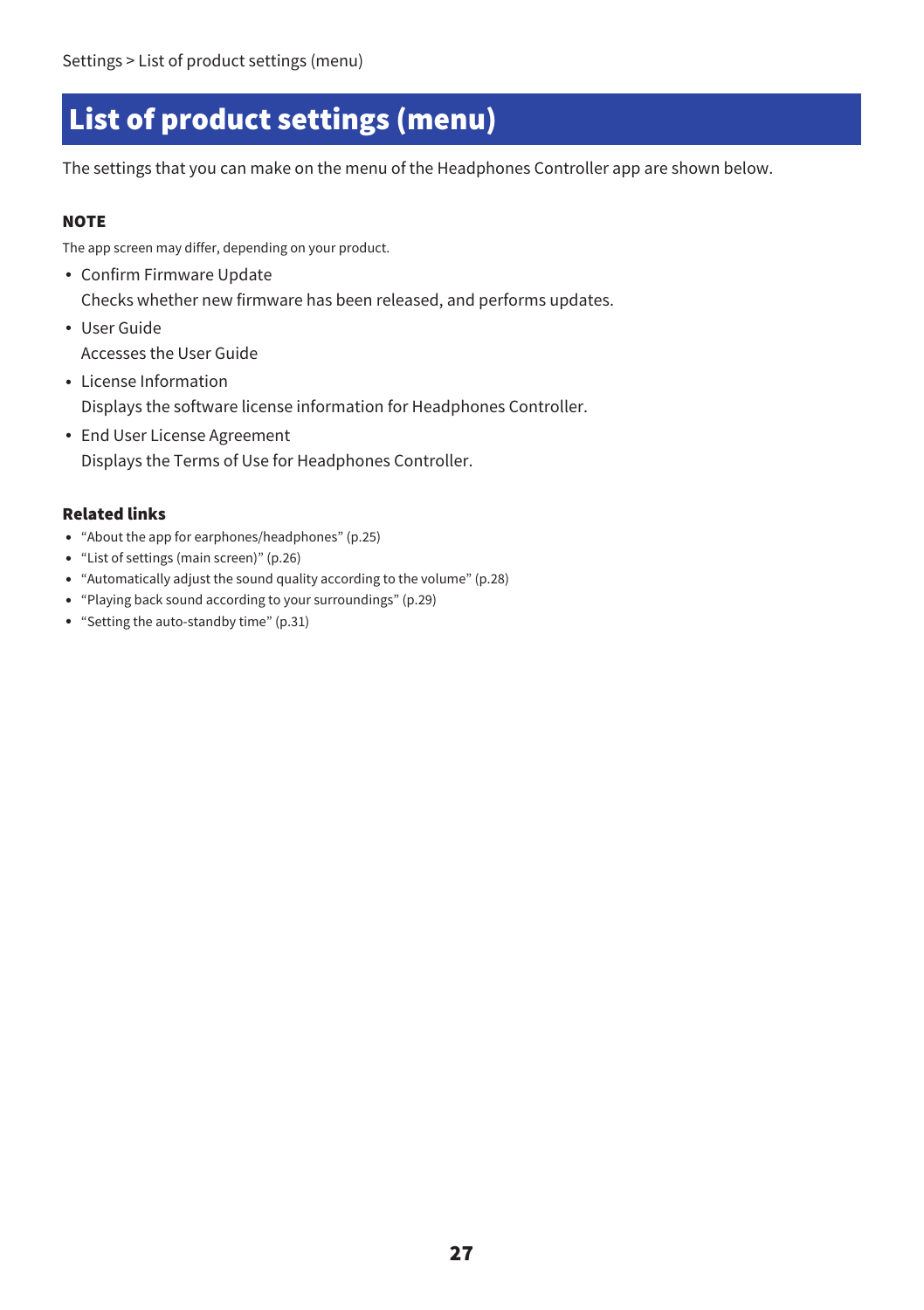### <span id="page-26-0"></span>List of product settings (menu)

The settings that you can make on the menu of the Headphones Controller app are shown below.

#### **NOTE**

The app screen may differ, depending on your product.

- Confirm Firmware Update Checks whether new firmware has been released, and performs updates.
- ( User Guide Accesses the User Guide
- License Information Displays the software license information for Headphones Controller.
- End User License Agreement Displays the Terms of Use for Headphones Controller.

- ( ["About the app for earphones/headphones" \(p.25\)](#page-24-1)
- ( ["List of settings \(main screen\)" \(p.26\)](#page-25-0)
- ( ["Automatically adjust the sound quality according to the volume" \(p.28\)](#page-27-0)
- ( ["Playing back sound according to your surroundings" \(p.29\)](#page-28-0)
- ["Setting the auto-standby time" \(p.31\)](#page-30-0)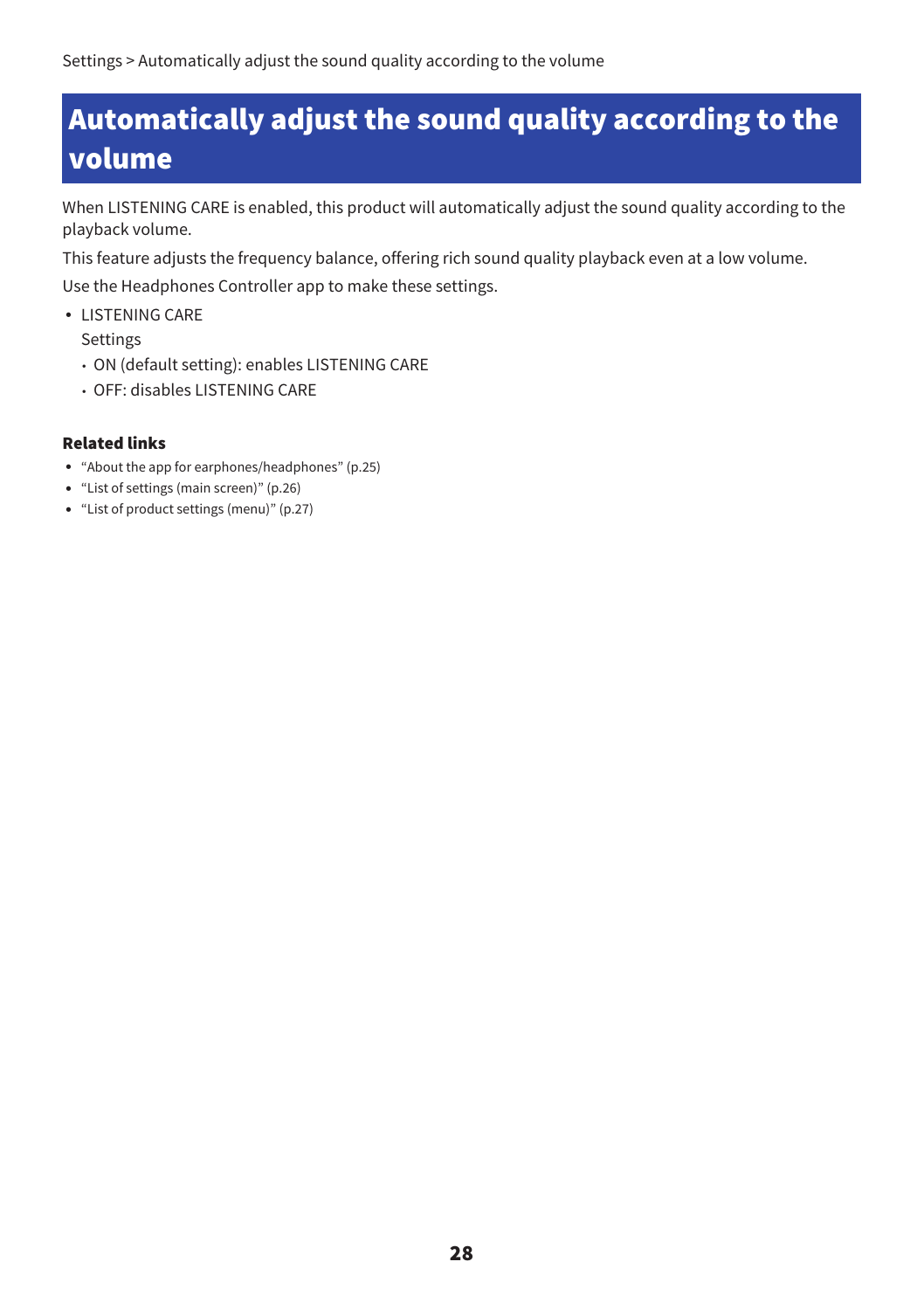### <span id="page-27-0"></span>Automatically adjust the sound quality according to the volume

When LISTENING CARE is enabled, this product will automatically adjust the sound quality according to the playback volume.

This feature adjusts the frequency balance, offering rich sound quality playback even at a low volume.

Use the Headphones Controller app to make these settings.

• LISTENING CARE

Settings

- ( ON (default setting): enables LISTENING CARE
- OFF: disables LISTENING CARE

- ( ["About the app for earphones/headphones" \(p.25\)](#page-24-1)
- ( ["List of settings \(main screen\)" \(p.26\)](#page-25-0)
- ( ["List of product settings \(menu\)" \(p.27\)](#page-26-0)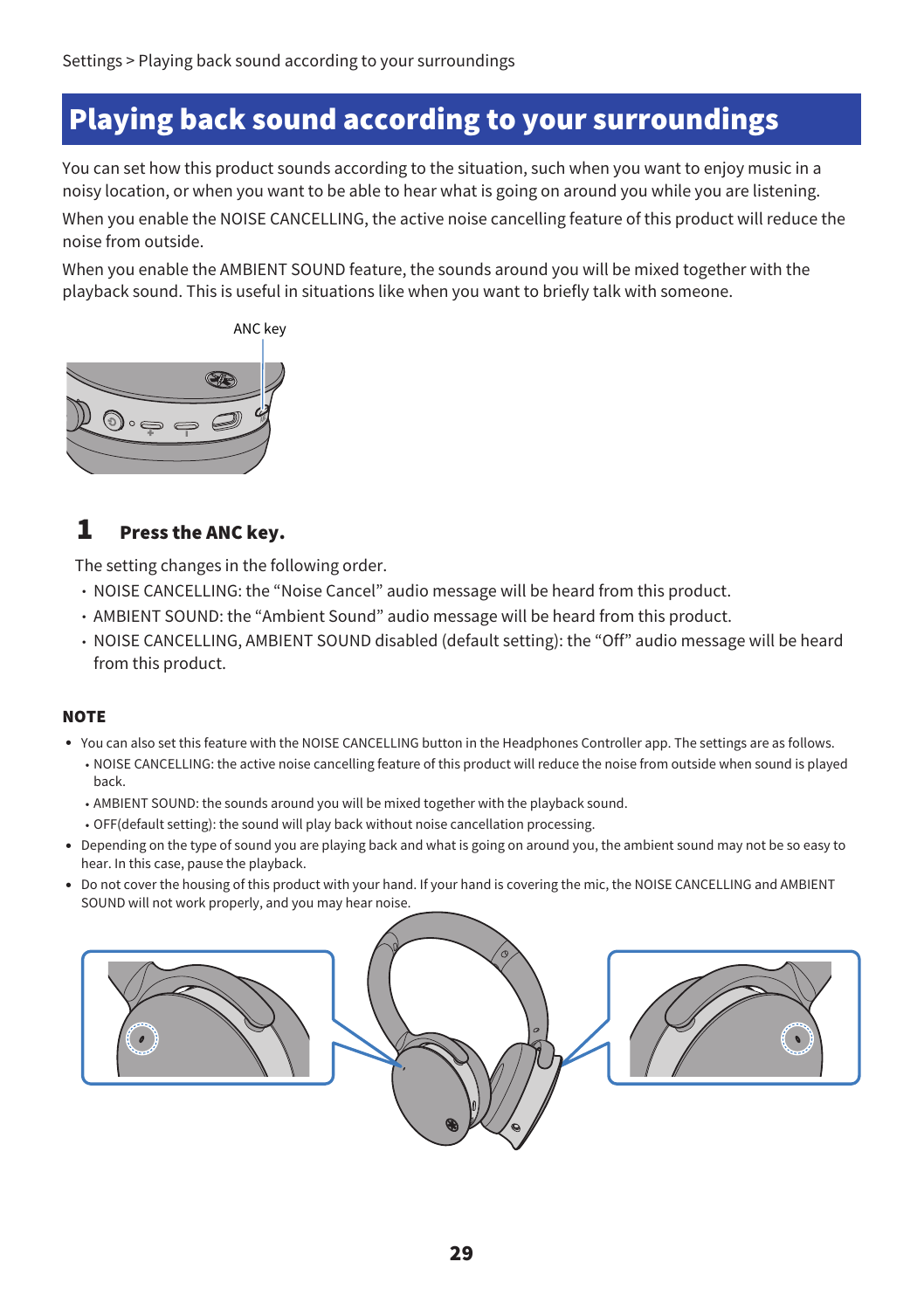### <span id="page-28-0"></span>Playing back sound according to your surroundings

You can set how this product sounds according to the situation, such when you want to enjoy music in a noisy location, or when you want to be able to hear what is going on around you while you are listening.

When you enable the NOISE CANCELLING, the active noise cancelling feature of this product will reduce the noise from outside.

When you enable the AMBIENT SOUND feature, the sounds around you will be mixed together with the playback sound. This is useful in situations like when you want to briefly talk with someone.



#### 1 Press the ANC key.

The setting changes in the following order.

- ( NOISE CANCELLING: the "Noise Cancel" audio message will be heard from this product.
- ( AMBIENT SOUND: the "Ambient Sound" audio message will be heard from this product.
- ( NOISE CANCELLING, AMBIENT SOUND disabled (default setting): the "Off" audio message will be heard from this product.

#### **NOTE**

- ( You can also set this feature with the NOISE CANCELLING button in the Headphones Controller app. The settings are as follows.
	- NOISE CANCELLING: the active noise cancelling feature of this product will reduce the noise from outside when sound is played back.
	- AMBIENT SOUND: the sounds around you will be mixed together with the playback sound.
	- OFF(default setting): the sound will play back without noise cancellation processing.
- Depending on the type of sound you are playing back and what is going on around you, the ambient sound may not be so easy to hear. In this case, pause the playback.
- Do not cover the housing of this product with your hand. If your hand is covering the mic, the NOISE CANCELLING and AMBIENT SOUND will not work properly, and you may hear noise.

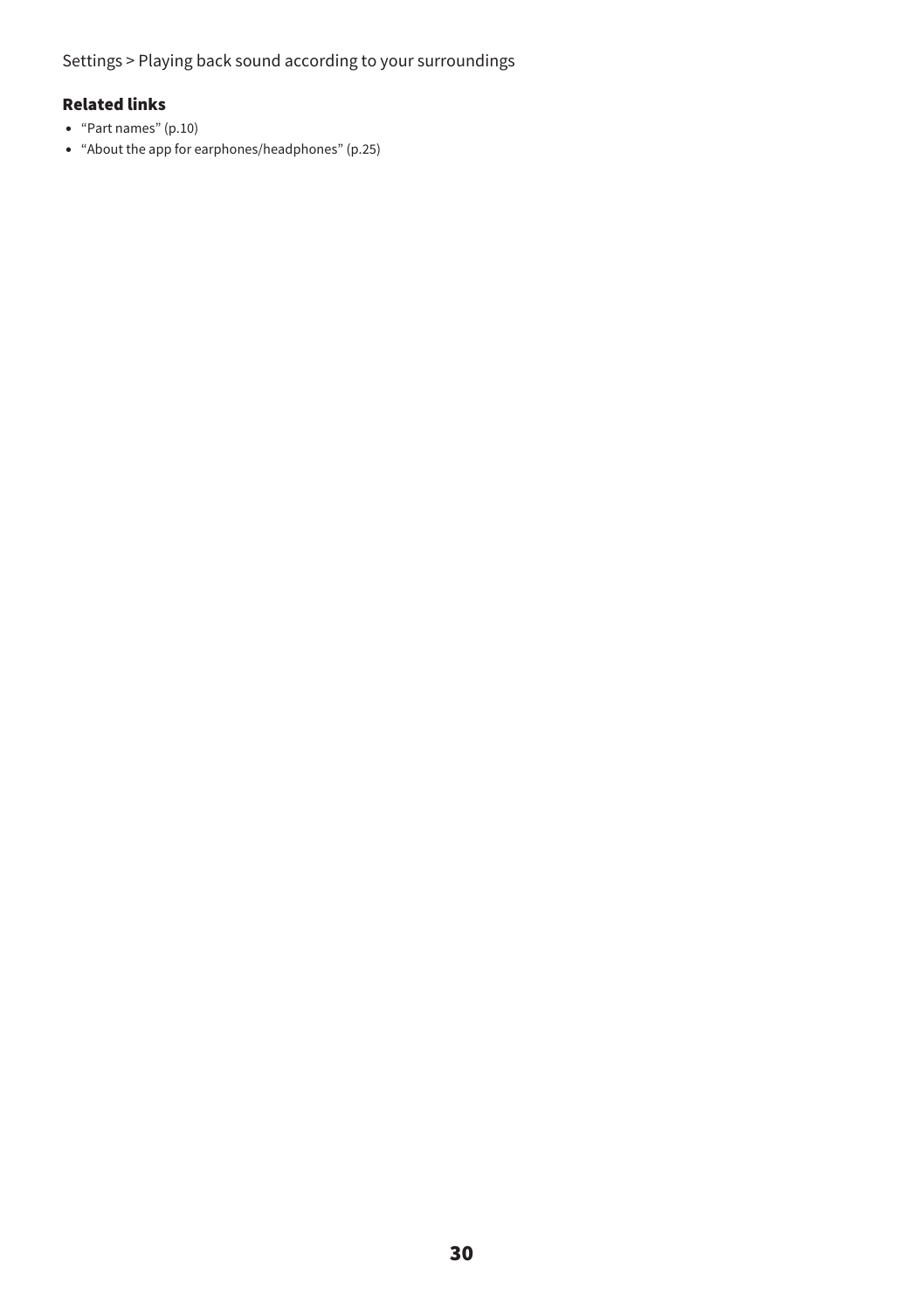Settings > Playing back sound according to your surroundings

- ( ["Part names" \(p.10\)](#page-9-0)
- ( ["About the app for earphones/headphones" \(p.25\)](#page-24-1)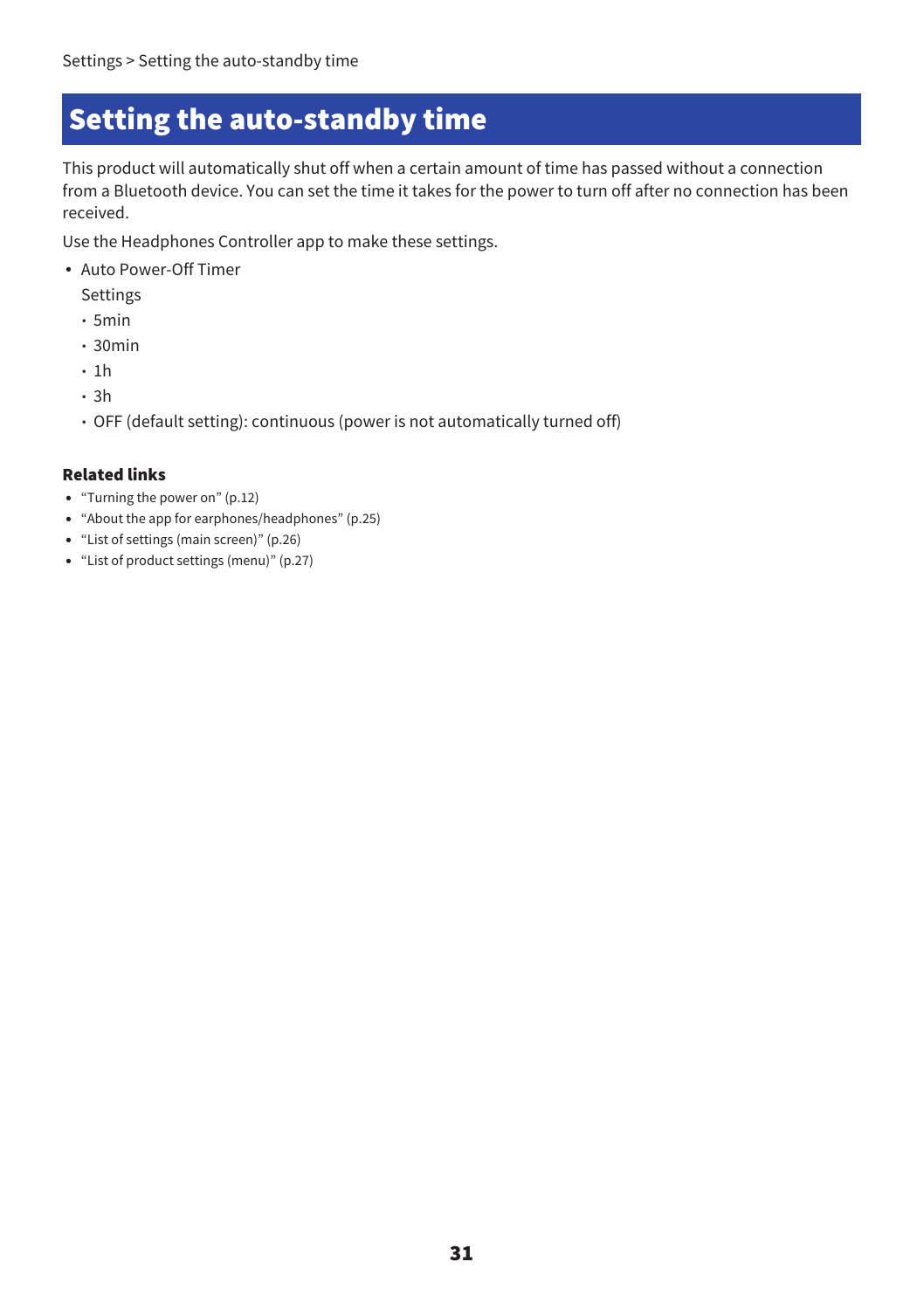### <span id="page-30-0"></span>Setting the auto-standby time

This product will automatically shut off when a certain amount of time has passed without a connection from a Bluetooth device. You can set the time it takes for the power to turn off after no connection has been received.

Use the Headphones Controller app to make these settings.

- Auto Power-Off Timer
	- Settings
	- $\cdot$  5min
	- $\cdot$  30min
	- $\cdot$  1h
	- $\cdot$  3h
	- OFF (default setting): continuous (power is not automatically turned off)

- ( ["Turning the power on" \(p.12\)](#page-11-0)
- ( ["About the app for earphones/headphones" \(p.25\)](#page-24-1)
- ( ["List of settings \(main screen\)" \(p.26\)](#page-25-0)
- ( ["List of product settings \(menu\)" \(p.27\)](#page-26-0)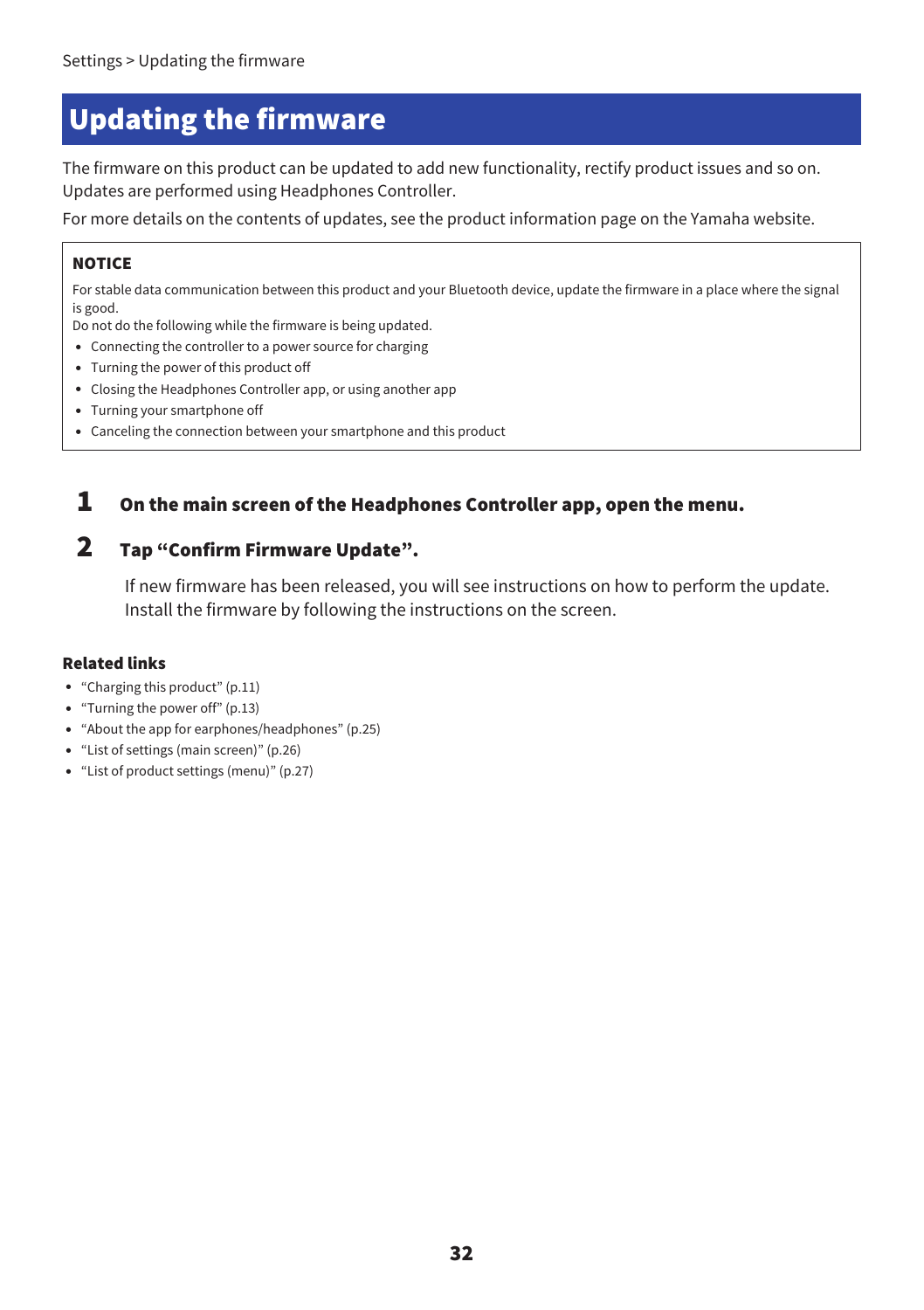### <span id="page-31-0"></span>Updating the firmware

The firmware on this product can be updated to add new functionality, rectify product issues and so on. Updates are performed using Headphones Controller.

For more details on the contents of updates, see the product information page on the Yamaha website.

#### **NOTICE**

For stable data communication between this product and your Bluetooth device, update the firmware in a place where the signal is good.

Do not do the following while the firmware is being updated.

- Connecting the controller to a power source for charging
- Turning the power of this product off
- Closing the Headphones Controller app, or using another app
- Turning your smartphone off
- Canceling the connection between your smartphone and this product

#### $\boldsymbol{1}$  On the main screen of the Headphones Controller app, open the menu.

#### 2 Tap "Confirm Firmware Update".

If new firmware has been released, you will see instructions on how to perform the update. Install the firmware by following the instructions on the screen.

- ["Charging this product" \(p.11\)](#page-10-1)
- ["Turning the power off" \(p.13\)](#page-12-0)
- ( ["About the app for earphones/headphones" \(p.25\)](#page-24-1)
- ( ["List of settings \(main screen\)" \(p.26\)](#page-25-0)
- ( ["List of product settings \(menu\)" \(p.27\)](#page-26-0)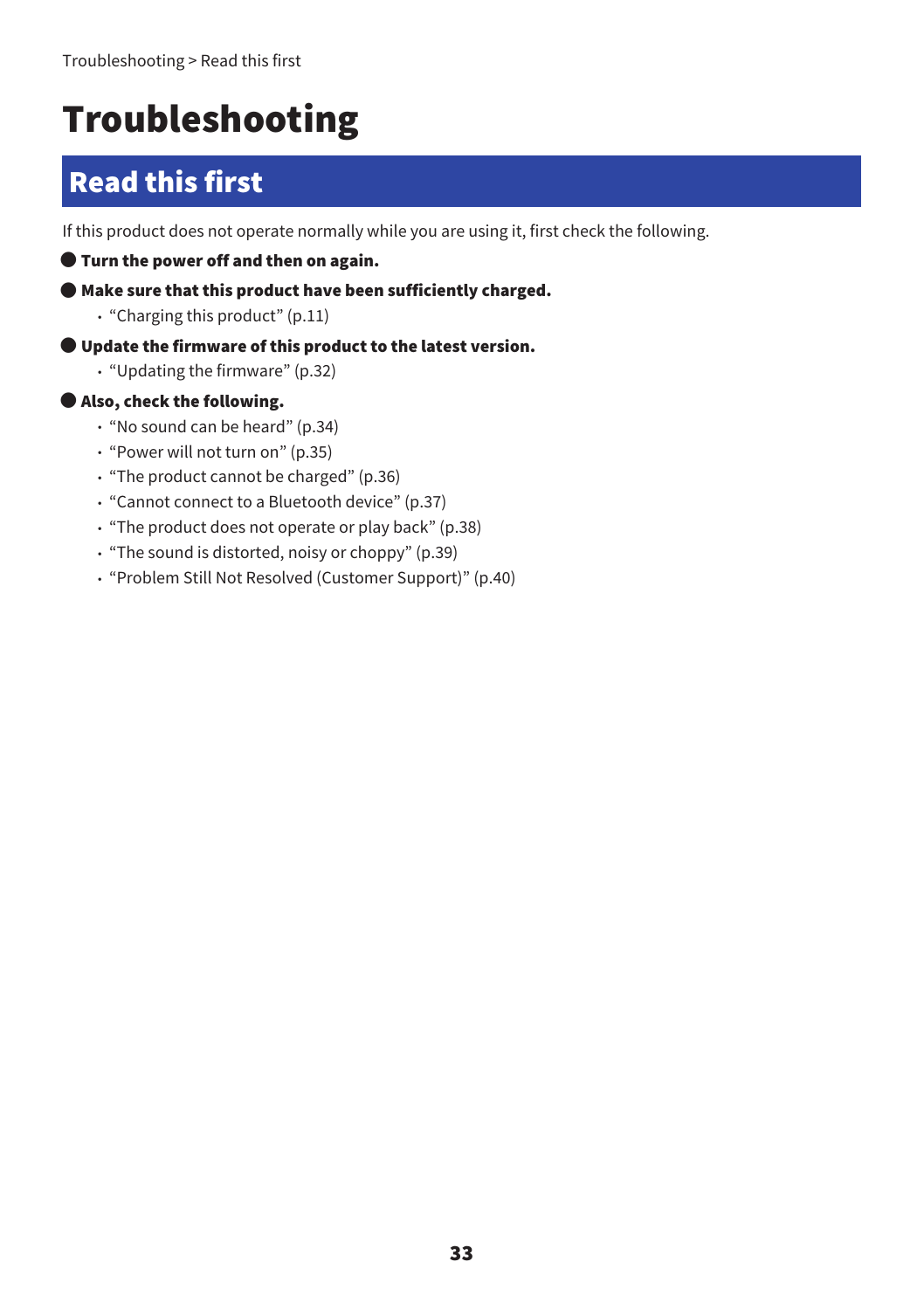# <span id="page-32-0"></span>Troubleshooting

### <span id="page-32-1"></span>Read this first

If this product does not operate normally while you are using it, first check the following.

#### ( Turn the power off and then on again.

#### ( Make sure that this product have been sufficiently charged.

( ["Charging this product" \(p.11\)](#page-10-1)

#### ( Update the firmware of this product to the latest version.

( ["Updating the firmware" \(p.32\)](#page-31-0)

#### ( Also, check the following.

- ( ["No sound can be heard" \(p.34\)](#page-33-0)
- ( ["Power will not turn on" \(p.35\)](#page-34-0)
- ( ["The product cannot be charged" \(p.36\)](#page-35-0)
- ( ["Cannot connect to a Bluetooth device" \(p.37\)](#page-36-0)
- ( ["The product does not operate or play back" \(p.38\)](#page-37-0)
- $\cdot$  ["The sound is distorted, noisy or choppy" \(p.39\)](#page-38-0)
- ( ["Problem Still Not Resolved \(Customer Support\)" \(p.40\)](#page-39-0)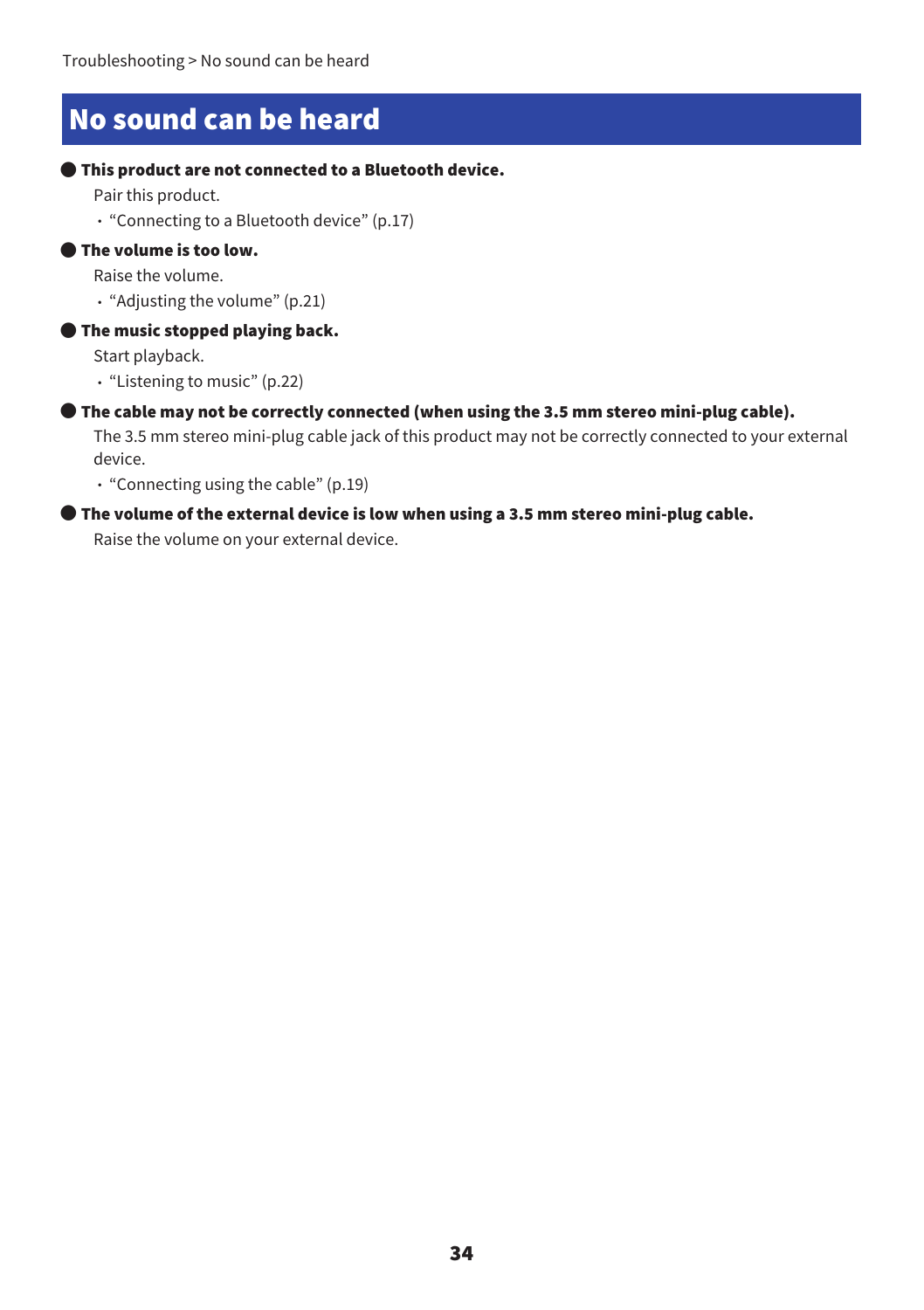### <span id="page-33-0"></span>No sound can be heard

#### ( This product are not connected to a Bluetooth device.

Pair this product.

( ["Connecting to a Bluetooth device" \(p.17\)](#page-16-0)

#### ( The volume is too low.

Raise the volume.

( ["Adjusting the volume" \(p.21\)](#page-20-1)

#### ( The music stopped playing back.

Start playback.

( ["Listening to music" \(p.22\)](#page-21-0)

#### ( The cable may not be correctly connected (when using the 3.5 mm stereo mini-plug cable).

The 3.5 mm stereo mini-plug cable jack of this product may not be correctly connected to your external device.

 $\cdot$  ["Connecting using the cable" \(p.19\)](#page-18-0)

#### ( The volume of the external device is low when using a 3.5 mm stereo mini-plug cable.

Raise the volume on your external device.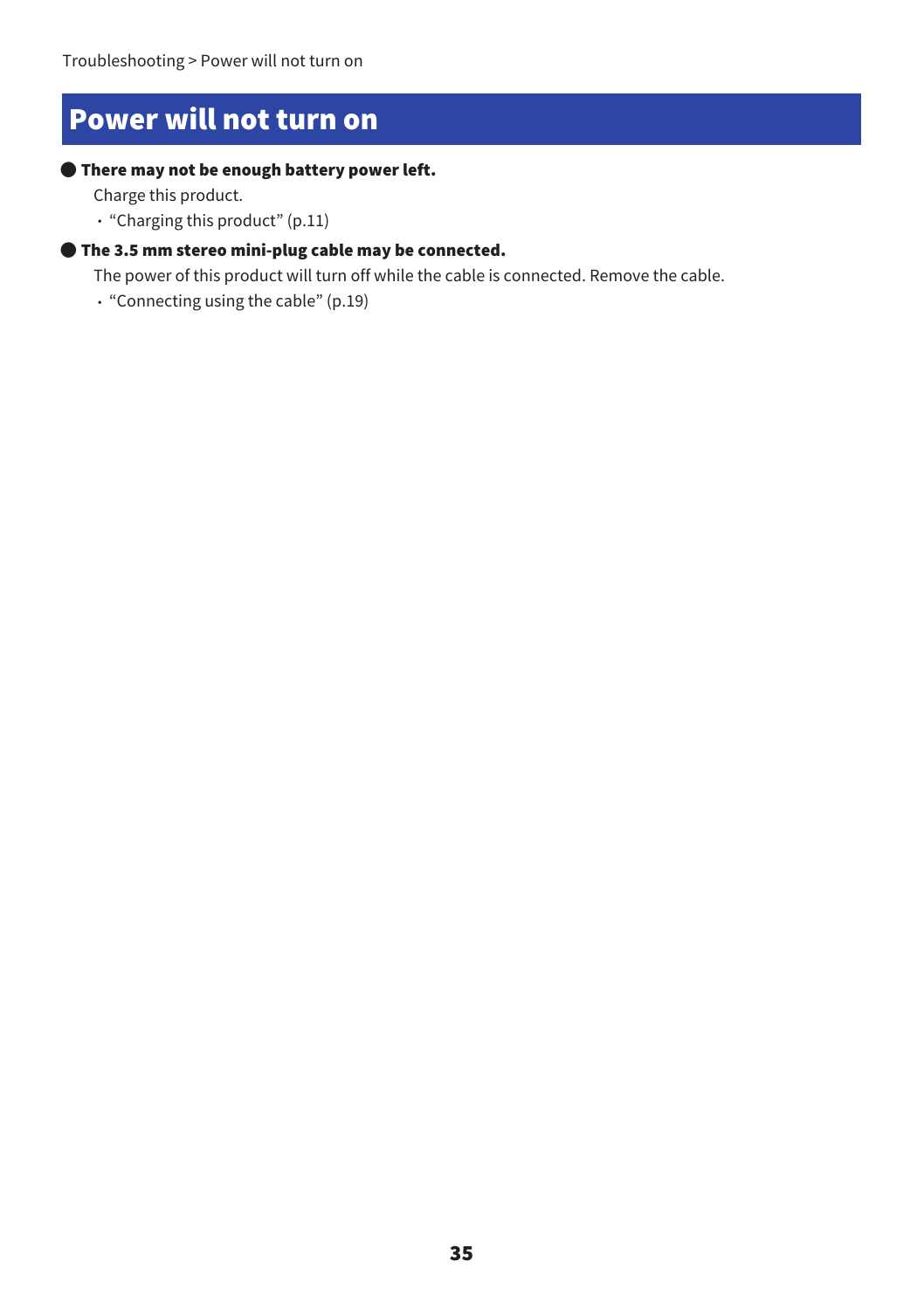### <span id="page-34-0"></span>Power will not turn on

#### ( There may not be enough battery power left.

Charge this product.

 $\cdot$  ["Charging this product" \(p.11\)](#page-10-1)

#### ( The 3.5 mm stereo mini-plug cable may be connected.

The power of this product will turn off while the cable is connected. Remove the cable.

 $\cdot$  ["Connecting using the cable" \(p.19\)](#page-18-0)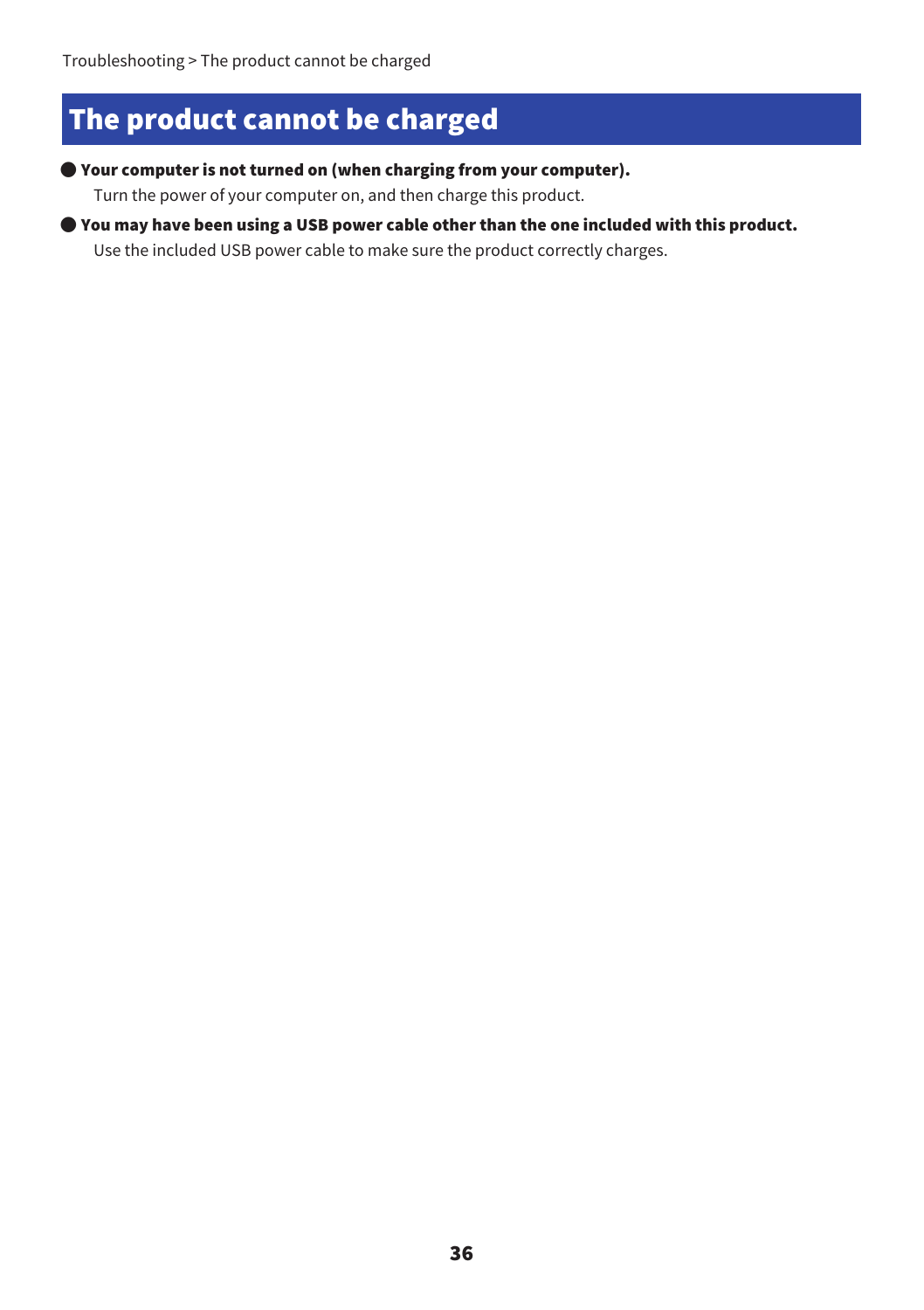### <span id="page-35-0"></span>The product cannot be charged

( Your computer is not turned on (when charging from your computer).

Turn the power of your computer on, and then charge this product.

( You may have been using a USB power cable other than the one included with this product.

Use the included USB power cable to make sure the product correctly charges.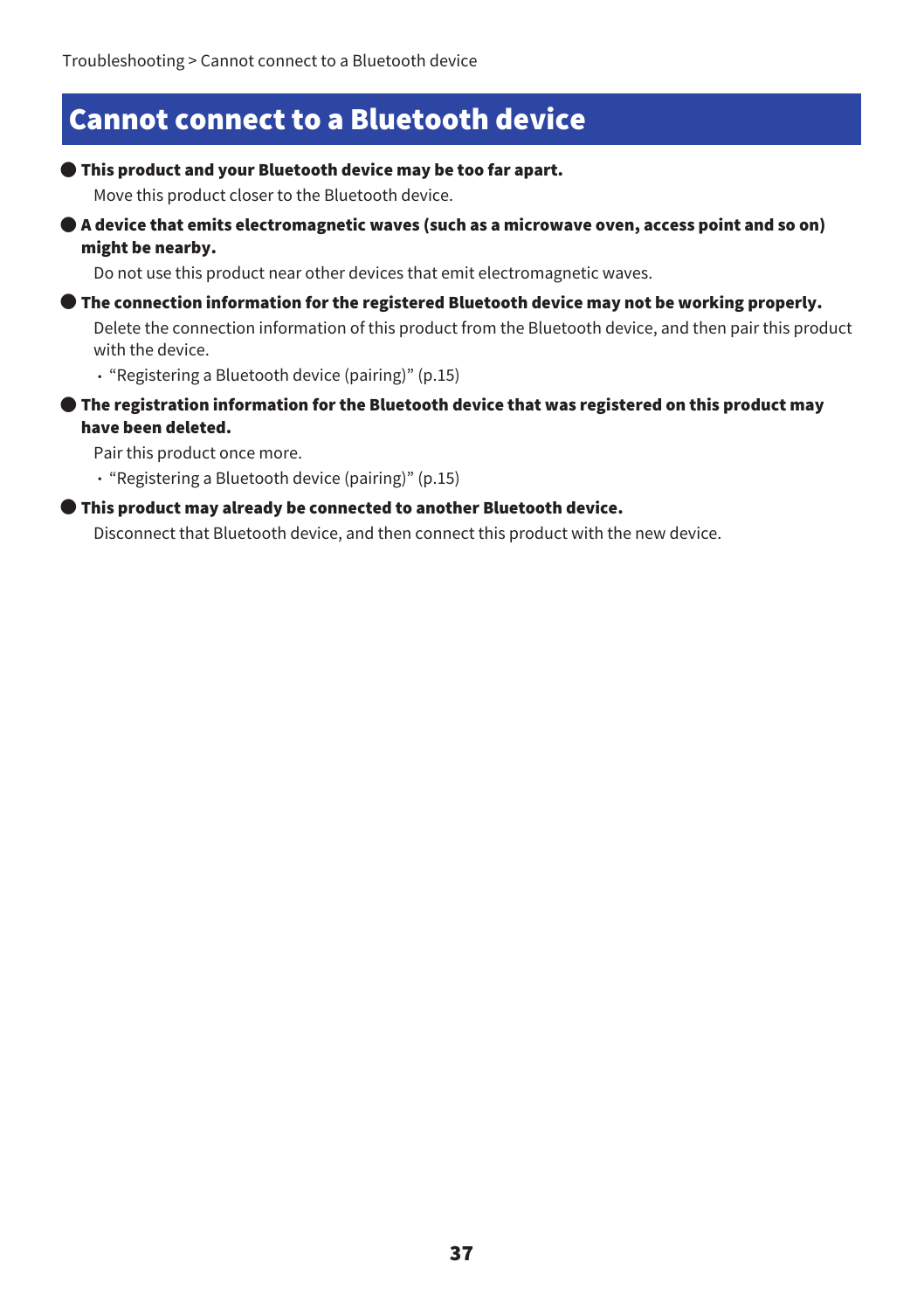### <span id="page-36-0"></span>Cannot connect to a Bluetooth device

( This product and your Bluetooth device may be too far apart.

Move this product closer to the Bluetooth device.

( A device that emits electromagnetic waves (such as a microwave oven, access point and so on) might be nearby.

Do not use this product near other devices that emit electromagnetic waves.

- ( The connection information for the registered Bluetooth device may not be working properly. Delete the connection information of this product from the Bluetooth device, and then pair this product with the device.
	- ( ["Registering a Bluetooth device \(pairing\)" \(p.15\)](#page-14-1)
- $\bullet$  The registration information for the Bluetooth device that was registered on this product may have been deleted.

Pair this product once more.

- ( ["Registering a Bluetooth device \(pairing\)" \(p.15\)](#page-14-1)
- ( This product may already be connected to another Bluetooth device.

Disconnect that Bluetooth device, and then connect this product with the new device.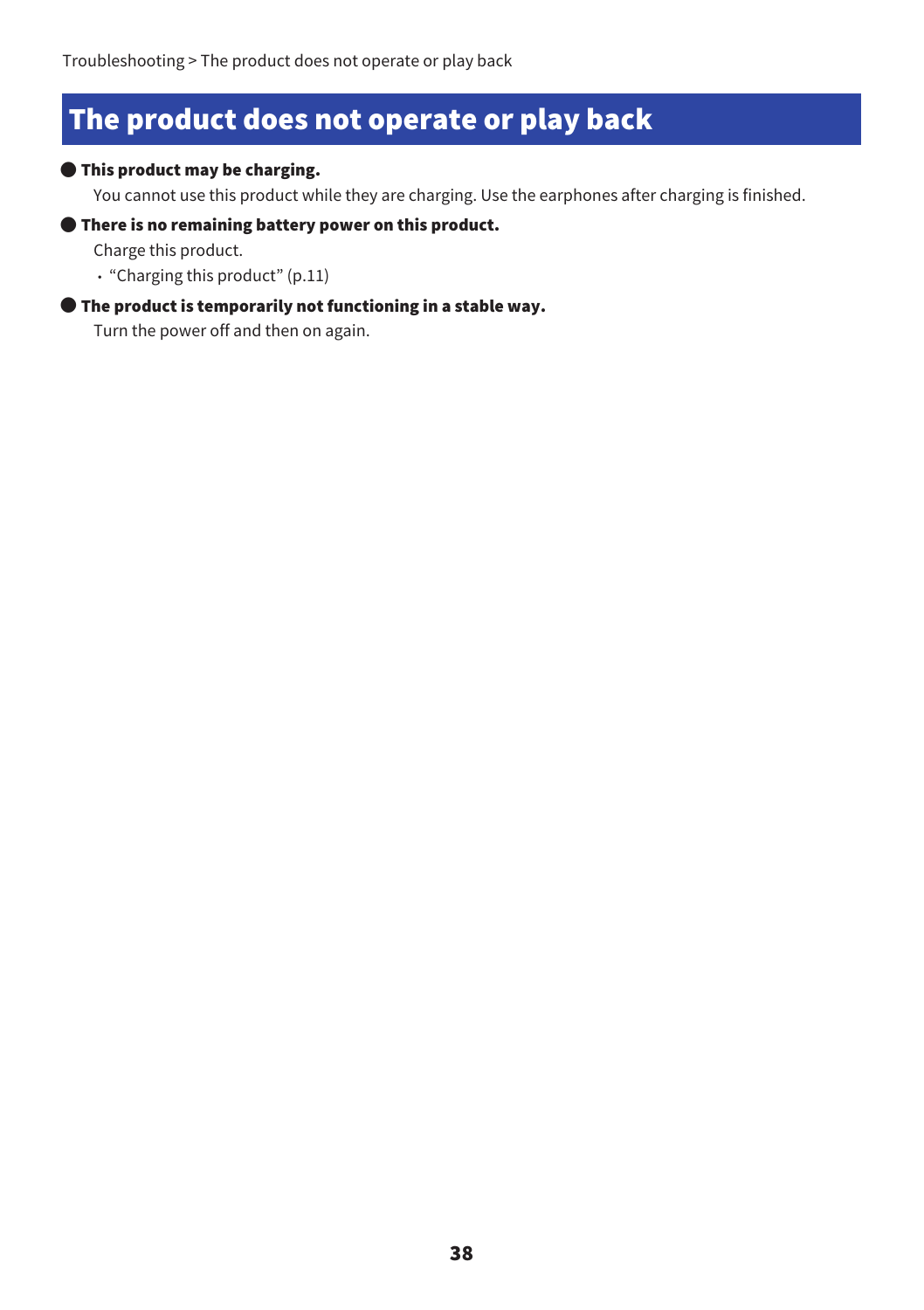### <span id="page-37-0"></span>The product does not operate or play back

#### ( This product may be charging.

You cannot use this product while they are charging. Use the earphones after charging is finished.

#### ( There is no remaining battery power on this product.

Charge this product.

( ["Charging this product" \(p.11\)](#page-10-1)

#### ( The product is temporarily not functioning in a stable way.

Turn the power off and then on again.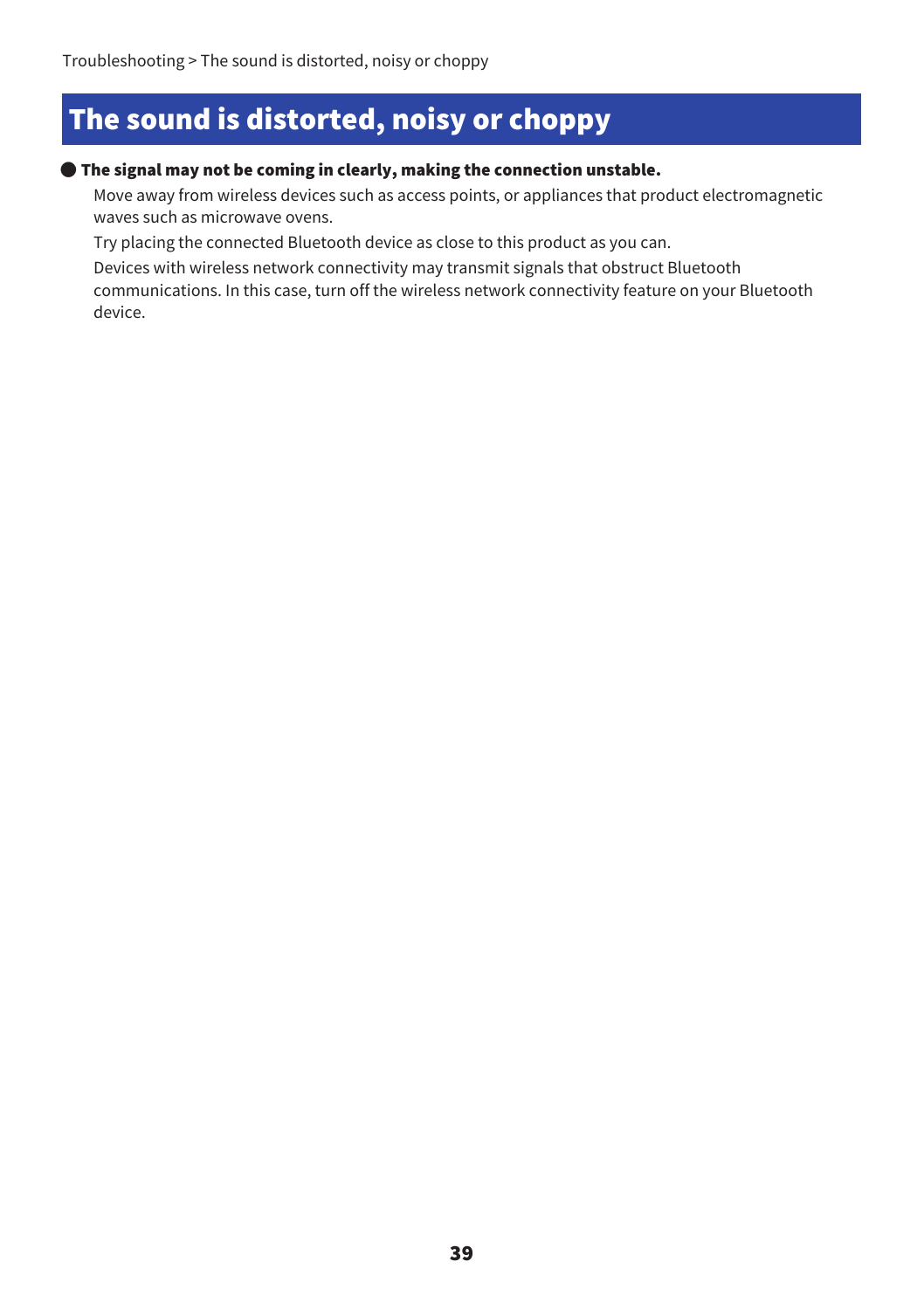### <span id="page-38-0"></span>The sound is distorted, noisy or choppy

#### ( The signal may not be coming in clearly, making the connection unstable.

Move away from wireless devices such as access points, or appliances that product electromagnetic waves such as microwave ovens.

Try placing the connected Bluetooth device as close to this product as you can.

Devices with wireless network connectivity may transmit signals that obstruct Bluetooth communications. In this case, turn off the wireless network connectivity feature on your Bluetooth device.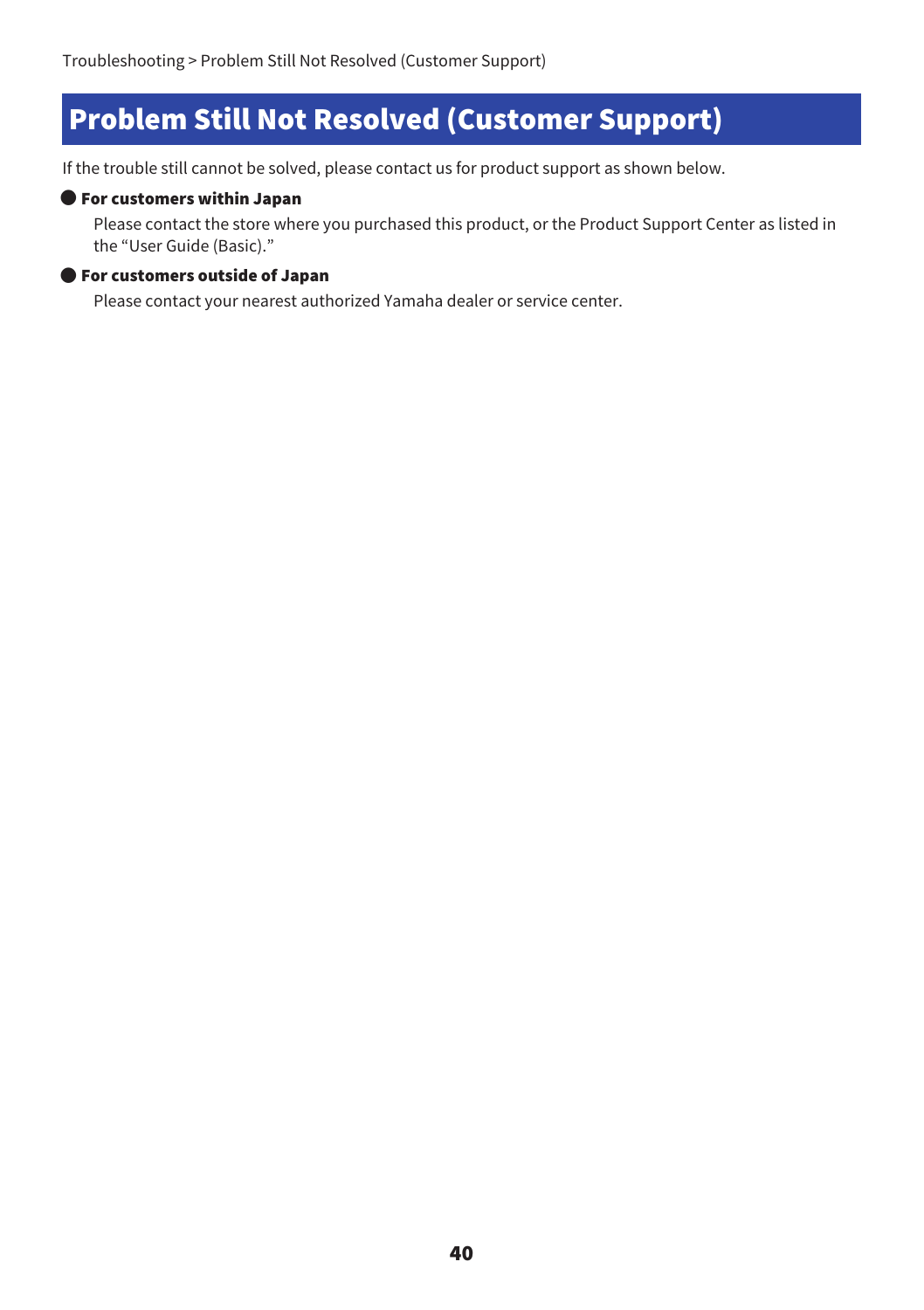### <span id="page-39-0"></span>Problem Still Not Resolved (Customer Support)

If the trouble still cannot be solved, please contact us for product support as shown below.

#### ( For customers within Japan

Please contact the store where you purchased this product, or the Product Support Center as listed in the "User Guide (Basic)."

#### ( For customers outside of Japan

Please contact your nearest authorized Yamaha dealer or service center.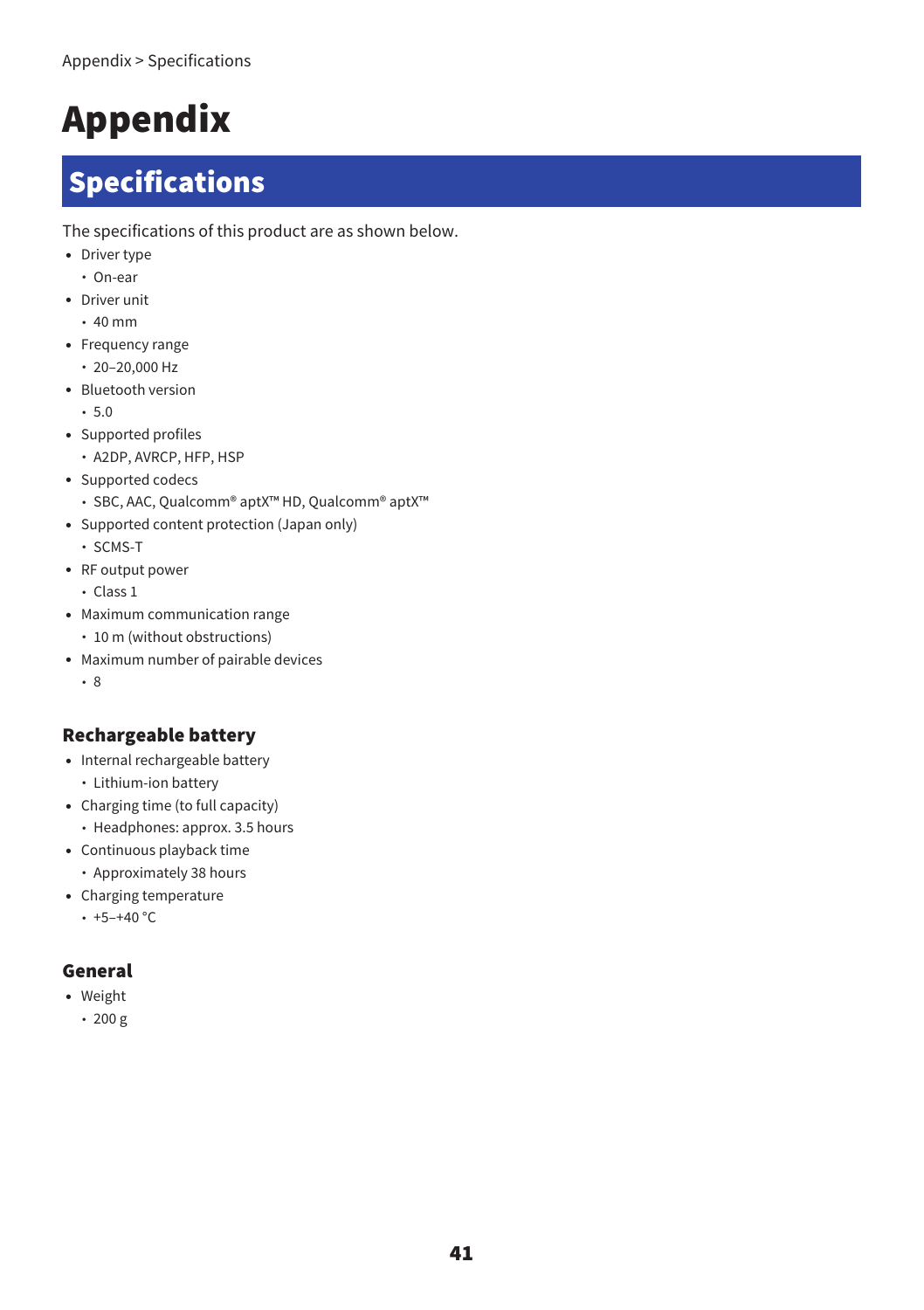# <span id="page-40-0"></span>Appendix

### <span id="page-40-1"></span>Specifications

The specifications of this product are as shown below.

- Driver type
	- ( On-ear
- Driver unit
- $\cdot$  40 mm
- Frequency range
	- $\cdot$  20–20,000 Hz
- Bluetooth version
	- $.5.0$
- Supported profiles
- A2DP, AVRCP, HFP, HSP
- Supported codecs
	- ( SBC, AAC, Qualcomm® aptX™ HD, Qualcomm® aptX™
- Supported content protection (Japan only)
	- ( SCMS-T
- RF output power
	- $\cdot$  Class 1
- Maximum communication range
	- 10 m (without obstructions)
- Maximum number of pairable devices
	- $\cdot$  8

#### Rechargeable battery

- Internal rechargeable battery
- Lithium-ion battery
- Charging time (to full capacity)
	- Headphones: approx. 3.5 hours
- Continuous playback time
	- Approximately 38 hours
- Charging temperature
- $+5-+40$  °C

#### General

- Weight
	- $\cdot$  200 g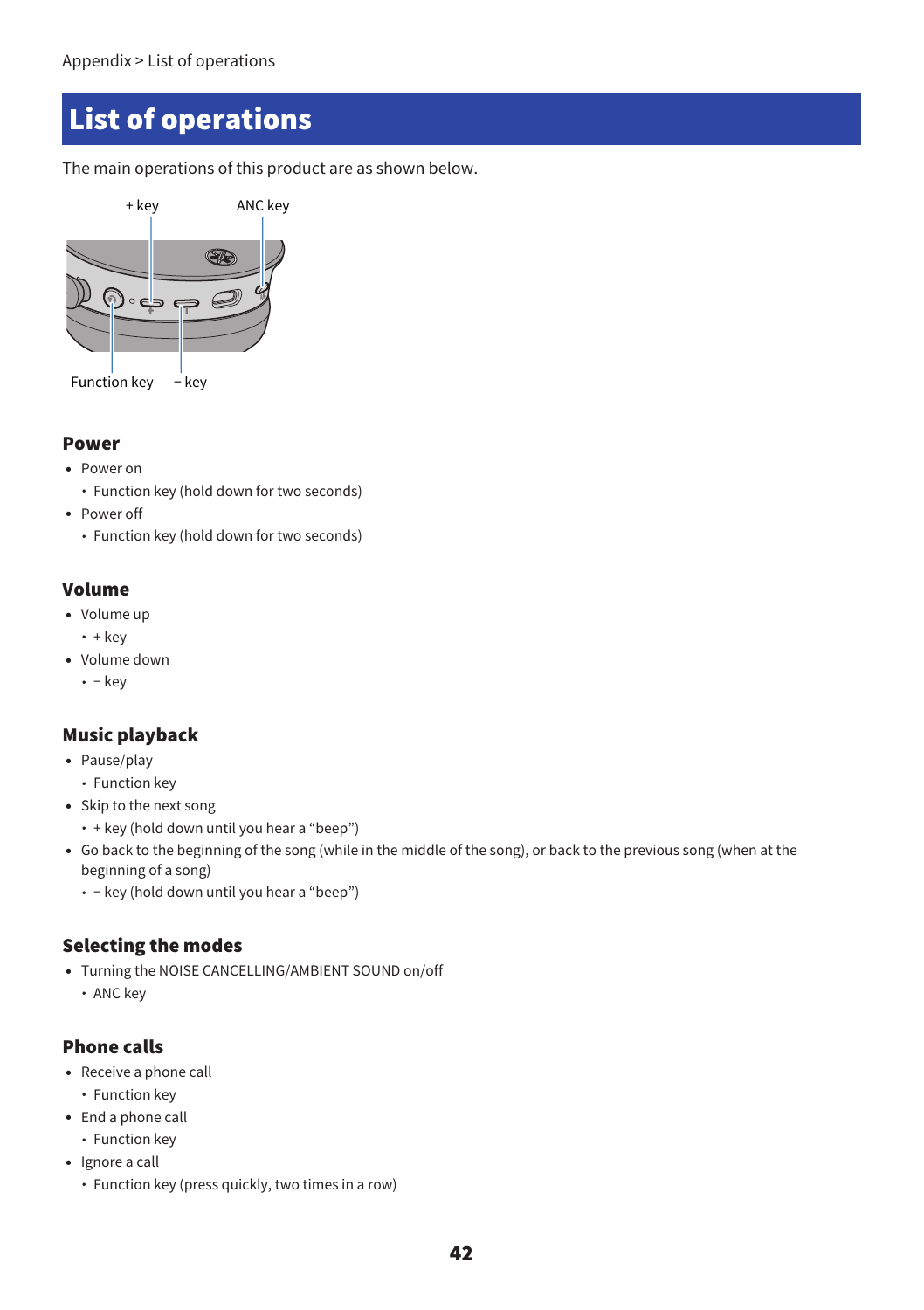### <span id="page-41-0"></span>List of operations

The main operations of this product are as shown below.



#### Power

- Power on
	- Function key (hold down for two seconds)
- Power off
	- Function key (hold down for two seconds)

#### Volume

- Volume up
	- $\cdot$  + key
- Volume down
	- $-$  key

#### Music playback

- Pause/play
	- Function key
- Skip to the next song
	- $\cdot$  + key (hold down until you hear a "beep")
- ( Go back to the beginning of the song (while in the middle of the song), or back to the previous song (when at the beginning of a song)
	- ( − key (hold down until you hear a "beep")

#### Selecting the modes

- Turning the NOISE CANCELLING/AMBIENT SOUND on/off
	- ANC key

#### Phone calls

- Receive a phone call
	- Function key
- End a phone call
- Function key
- Ignore a call
	- Function key (press quickly, two times in a row)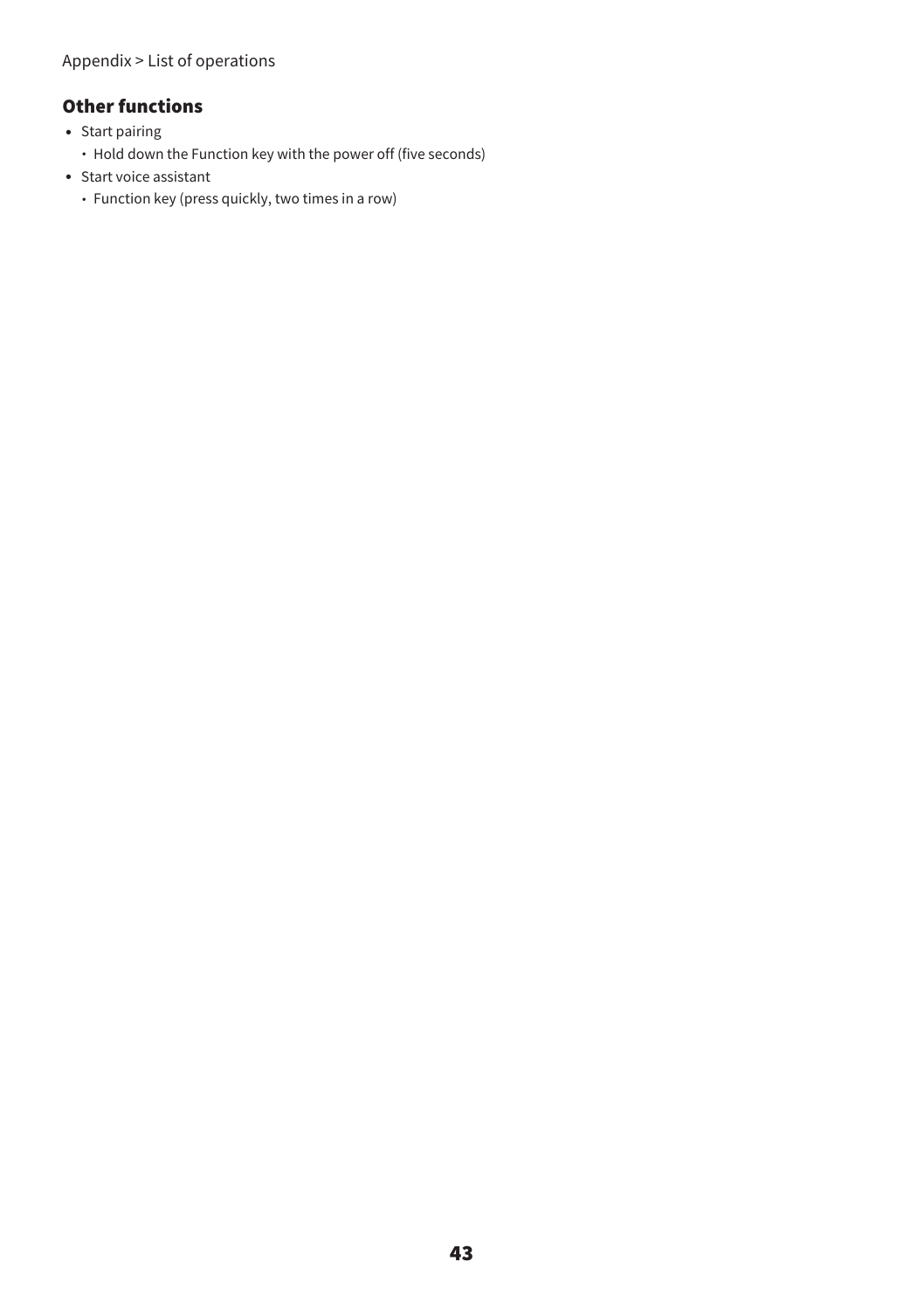Appendix > List of operations

#### Other functions

- Start pairing
	- Hold down the Function key with the power off (five seconds)
- Start voice assistant
	- Function key (press quickly, two times in a row)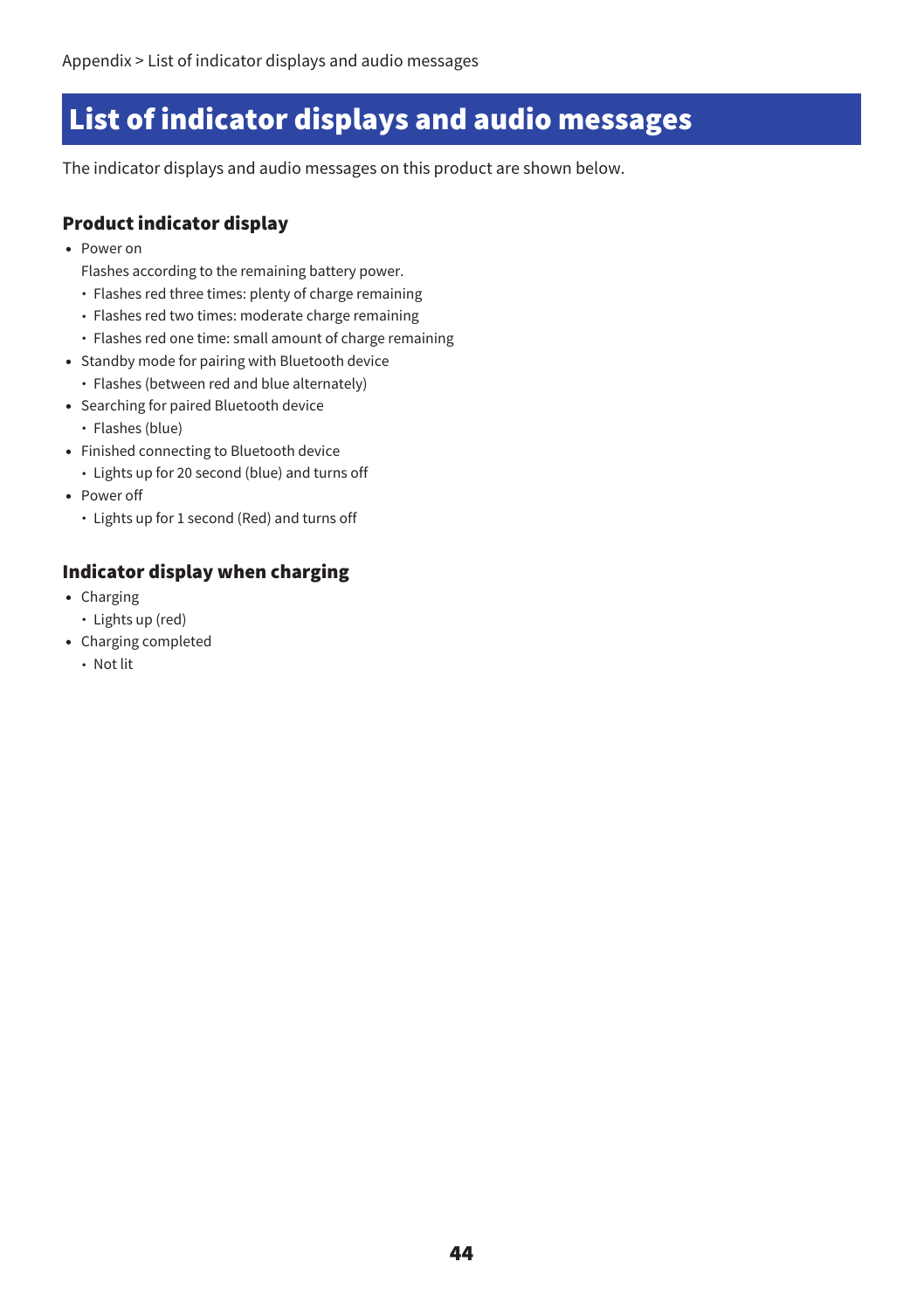### <span id="page-43-0"></span>List of indicator displays and audio messages

The indicator displays and audio messages on this product are shown below.

#### Product indicator display

- Power on
	- Flashes according to the remaining battery power.
	- Flashes red three times: plenty of charge remaining
	- Flashes red two times: moderate charge remaining
	- ( Flashes red one time: small amount of charge remaining
- Standby mode for pairing with Bluetooth device
	- ( Flashes (between red and blue alternately)
- Searching for paired Bluetooth device
	- ( Flashes (blue)
- Finished connecting to Bluetooth device
	- ( Lights up for 20 second (blue) and turns off
- Power off
	- Lights up for 1 second (Red) and turns off

#### Indicator display when charging

- Charging
- Lights up (red)
- ( Charging completed
	- Not lit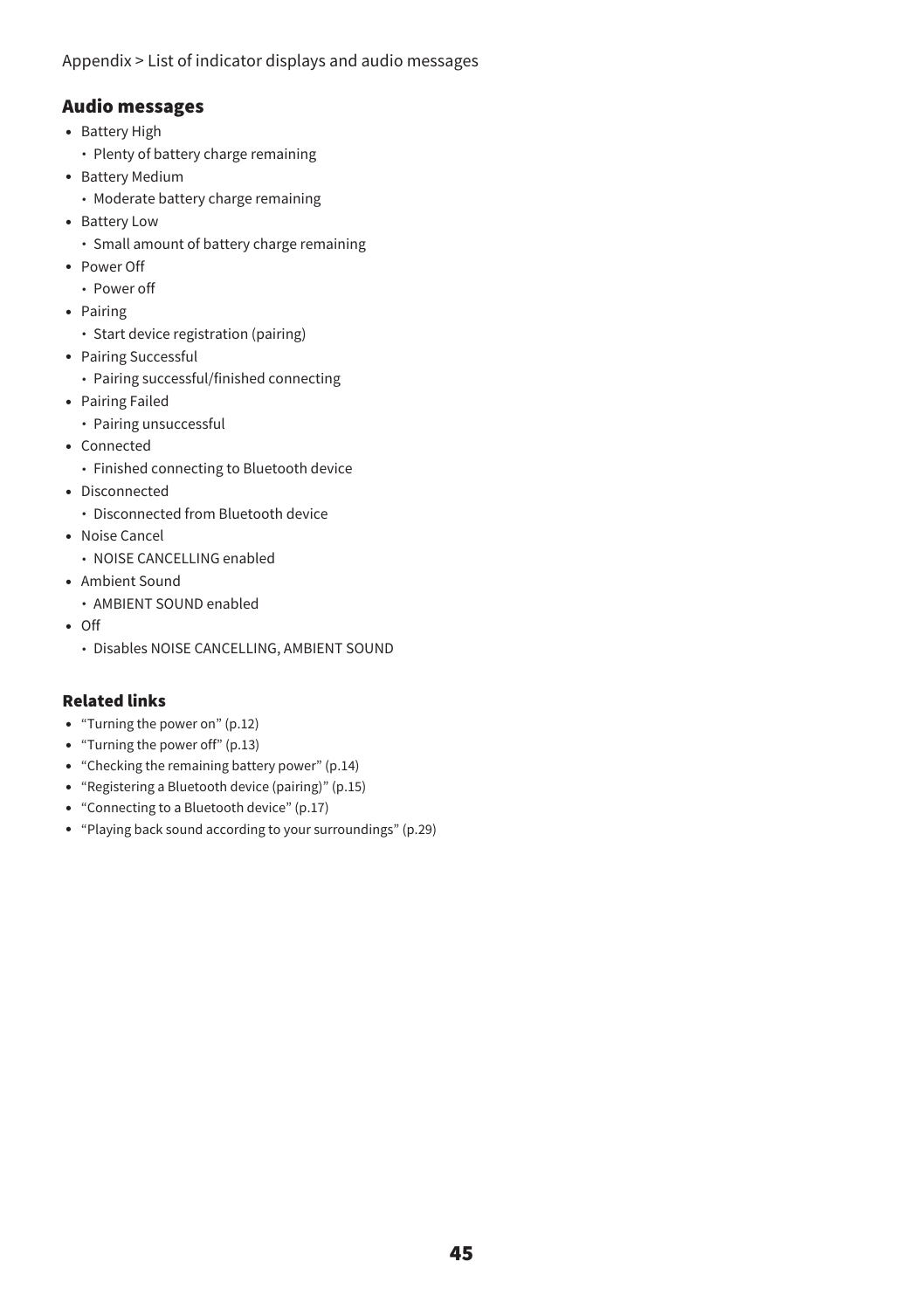Appendix > List of indicator displays and audio messages

#### Audio messages

- Battery High
	- Plenty of battery charge remaining
- Battery Medium
	- Moderate battery charge remaining
- Battery Low
	- Small amount of battery charge remaining
- Power Off
	- Power off
- Pairing
	- Start device registration (pairing)
- Pairing Successful
	- Pairing successful/finished connecting
- Pairing Failed
	- Pairing unsuccessful
- Connected
	- Finished connecting to Bluetooth device
- Disconnected
- Disconnected from Bluetooth device
- Noise Cancel
	- NOISE CANCELLING enabled
- Ambient Sound
	- AMBIENT SOUND enabled
- ( Off
	- Disables NOISE CANCELLING, AMBIENT SOUND

- ( ["Turning the power on" \(p.12\)](#page-11-0)
- ( ["Turning the power off" \(p.13\)](#page-12-0)
- ["Checking the remaining battery power" \(p.14\)](#page-13-0)
- ["Registering a Bluetooth device \(pairing\)" \(p.15\)](#page-14-1)
- ( ["Connecting to a Bluetooth device" \(p.17\)](#page-16-0)
- ( ["Playing back sound according to your surroundings" \(p.29\)](#page-28-0)